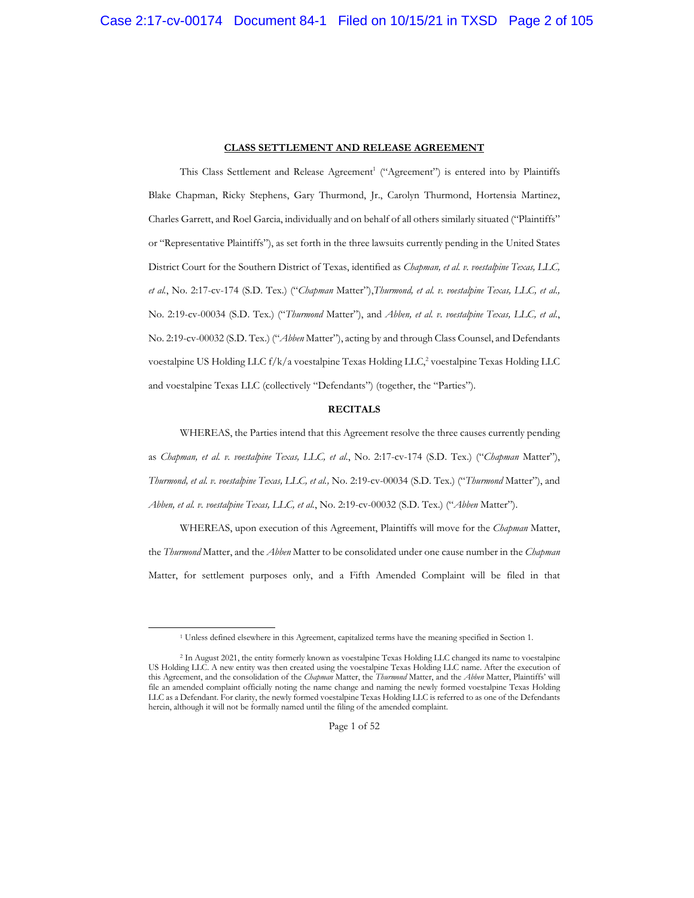#### **CLASS SETTLEMENT AND RELEASE AGREEMENT**

This Class Settlement and Release Agreement<sup>1</sup> ("Agreement") is entered into by Plaintiffs Blake Chapman, Ricky Stephens, Gary Thurmond, Jr., Carolyn Thurmond, Hortensia Martinez, Charles Garrett, and Roel Garcia, individually and on behalf of all others similarly situated ("Plaintiffs" or "Representative Plaintiffs"), as set forth in the three lawsuits currently pending in the United States District Court for the Southern District of Texas, identified as *Chapman, et al. v. voestalpine Texas, LLC, et al.*, No. 2:17-cv-174 (S.D. Tex.) ("*Chapman* Matter"),*Thurmond, et al. v. voestalpine Texas, LLC, et al.,*  No. 2:19-cv-00034 (S.D. Tex.) ("*Thurmond* Matter"), and *Abben, et al. v. voestalpine Texas, LLC, et al.*, No. 2:19-cv-00032 (S.D. Tex.) ("*Abben* Matter"), acting by and through Class Counsel, and Defendants voestalpine US Holding LLC  $f/k/a$  voestalpine Texas Holding LLC,<sup>2</sup> voestalpine Texas Holding LLC and voestalpine Texas LLC (collectively "Defendants") (together, the "Parties").

#### **RECITALS**

WHEREAS, the Parties intend that this Agreement resolve the three causes currently pending as *Chapman, et al. v. voestalpine Texas, LLC, et al.*, No. 2:17-cv-174 (S.D. Tex.) ("*Chapman* Matter"), *Thurmond, et al. v. voestalpine Texas, LLC, et al.,* No. 2:19-cv-00034 (S.D. Tex.) ("*Thurmond* Matter"), and *Abben, et al. v. voestalpine Texas, LLC, et al.*, No. 2:19-cv-00032 (S.D. Tex.) ("*Abben* Matter").

WHEREAS, upon execution of this Agreement, Plaintiffs will move for the *Chapman* Matter, the *Thurmond* Matter, and the *Abben* Matter to be consolidated under one cause number in the *Chapman* Matter, for settlement purposes only, and a Fifth Amended Complaint will be filed in that

<sup>1</sup> Unless defined elsewhere in this Agreement, capitalized terms have the meaning specified in Section 1.

<sup>2</sup> In August 2021, the entity formerly known as voestalpine Texas Holding LLC changed its name to voestalpine US Holding LLC. A new entity was then created using the voestalpine Texas Holding LLC name. After the execution of this Agreement, and the consolidation of the *Chapman* Matter, the *Thurmond* Matter, and the *Abben* Matter, Plaintiffs' will file an amended complaint officially noting the name change and naming the newly formed voestalpine Texas Holding LLC as a Defendant. For clarity, the newly formed voestalpine Texas Holding LLC is referred to as one of the Defendants herein, although it will not be formally named until the filing of the amended complaint.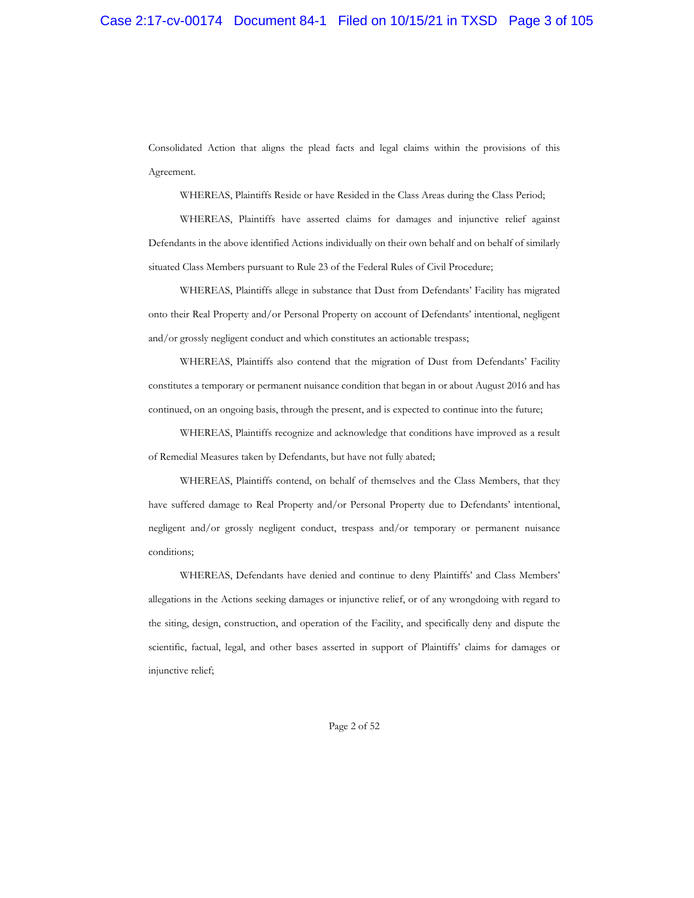Consolidated Action that aligns the plead facts and legal claims within the provisions of this Agreement.

WHEREAS, Plaintiffs Reside or have Resided in the Class Areas during the Class Period;

WHEREAS, Plaintiffs have asserted claims for damages and injunctive relief against Defendants in the above identified Actions individually on their own behalf and on behalf of similarly situated Class Members pursuant to Rule 23 of the Federal Rules of Civil Procedure;

WHEREAS, Plaintiffs allege in substance that Dust from Defendants' Facility has migrated onto their Real Property and/or Personal Property on account of Defendants' intentional, negligent and/or grossly negligent conduct and which constitutes an actionable trespass;

WHEREAS, Plaintiffs also contend that the migration of Dust from Defendants' Facility constitutes a temporary or permanent nuisance condition that began in or about August 2016 and has continued, on an ongoing basis, through the present, and is expected to continue into the future;

WHEREAS, Plaintiffs recognize and acknowledge that conditions have improved as a result of Remedial Measures taken by Defendants, but have not fully abated;

WHEREAS, Plaintiffs contend, on behalf of themselves and the Class Members, that they have suffered damage to Real Property and/or Personal Property due to Defendants' intentional, negligent and/or grossly negligent conduct, trespass and/or temporary or permanent nuisance conditions;

WHEREAS, Defendants have denied and continue to deny Plaintiffs' and Class Members' allegations in the Actions seeking damages or injunctive relief, or of any wrongdoing with regard to the siting, design, construction, and operation of the Facility, and specifically deny and dispute the scientific, factual, legal, and other bases asserted in support of Plaintiffs' claims for damages or injunctive relief;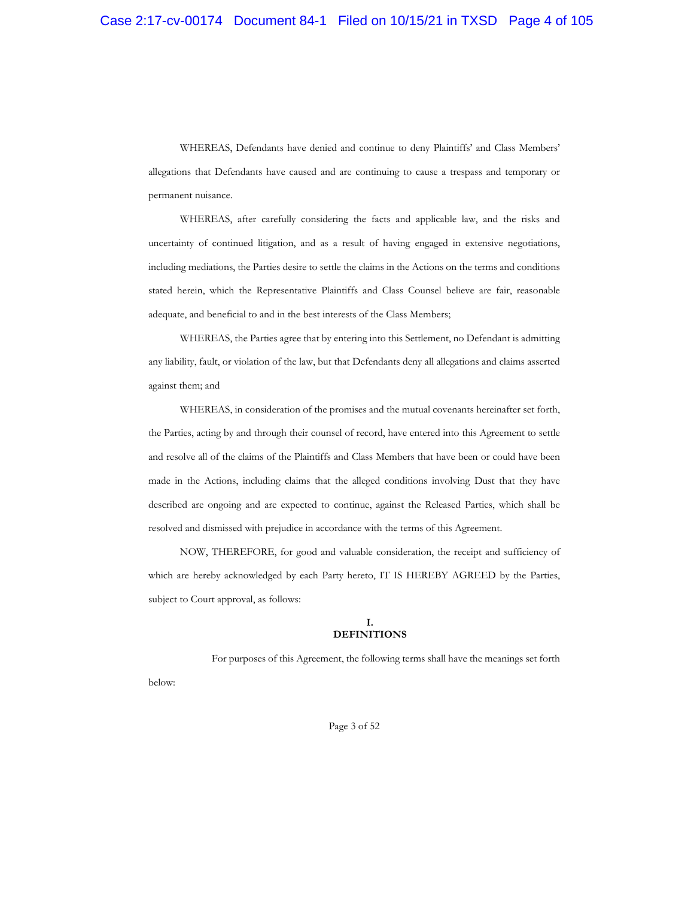WHEREAS, Defendants have denied and continue to deny Plaintiffs' and Class Members' allegations that Defendants have caused and are continuing to cause a trespass and temporary or permanent nuisance.

WHEREAS, after carefully considering the facts and applicable law, and the risks and uncertainty of continued litigation, and as a result of having engaged in extensive negotiations, including mediations, the Parties desire to settle the claims in the Actions on the terms and conditions stated herein, which the Representative Plaintiffs and Class Counsel believe are fair, reasonable adequate, and beneficial to and in the best interests of the Class Members;

WHEREAS, the Parties agree that by entering into this Settlement, no Defendant is admitting any liability, fault, or violation of the law, but that Defendants deny all allegations and claims asserted against them; and

WHEREAS, in consideration of the promises and the mutual covenants hereinafter set forth, the Parties, acting by and through their counsel of record, have entered into this Agreement to settle and resolve all of the claims of the Plaintiffs and Class Members that have been or could have been made in the Actions, including claims that the alleged conditions involving Dust that they have described are ongoing and are expected to continue, against the Released Parties, which shall be resolved and dismissed with prejudice in accordance with the terms of this Agreement.

NOW, THEREFORE, for good and valuable consideration, the receipt and sufficiency of which are hereby acknowledged by each Party hereto, IT IS HEREBY AGREED by the Parties, subject to Court approval, as follows:

## **I. DEFINITIONS**

For purposes of this Agreement, the following terms shall have the meanings set forth

below:

Page 3 of 52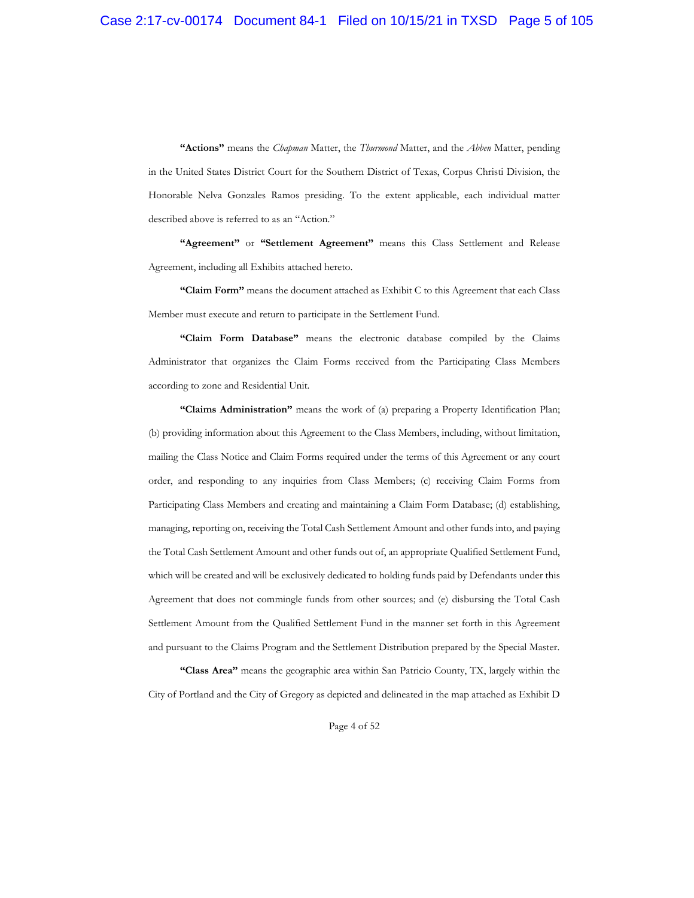**"Actions"** means the *Chapman* Matter, the *Thurmond* Matter, and the *Abben* Matter, pending in the United States District Court for the Southern District of Texas, Corpus Christi Division, the Honorable Nelva Gonzales Ramos presiding. To the extent applicable, each individual matter described above is referred to as an "Action."

**"Agreement"** or **"Settlement Agreement"** means this Class Settlement and Release Agreement, including all Exhibits attached hereto.

**"Claim Form"** means the document attached as Exhibit C to this Agreement that each Class Member must execute and return to participate in the Settlement Fund.

**"Claim Form Database"** means the electronic database compiled by the Claims Administrator that organizes the Claim Forms received from the Participating Class Members according to zone and Residential Unit.

**"Claims Administration"** means the work of (a) preparing a Property Identification Plan; (b) providing information about this Agreement to the Class Members, including, without limitation, mailing the Class Notice and Claim Forms required under the terms of this Agreement or any court order, and responding to any inquiries from Class Members; (c) receiving Claim Forms from Participating Class Members and creating and maintaining a Claim Form Database; (d) establishing, managing, reporting on, receiving the Total Cash Settlement Amount and other funds into, and paying the Total Cash Settlement Amount and other funds out of, an appropriate Qualified Settlement Fund, which will be created and will be exclusively dedicated to holding funds paid by Defendants under this Agreement that does not commingle funds from other sources; and (e) disbursing the Total Cash Settlement Amount from the Qualified Settlement Fund in the manner set forth in this Agreement and pursuant to the Claims Program and the Settlement Distribution prepared by the Special Master.

**"Class Area"** means the geographic area within San Patricio County, TX, largely within the City of Portland and the City of Gregory as depicted and delineated in the map attached as Exhibit D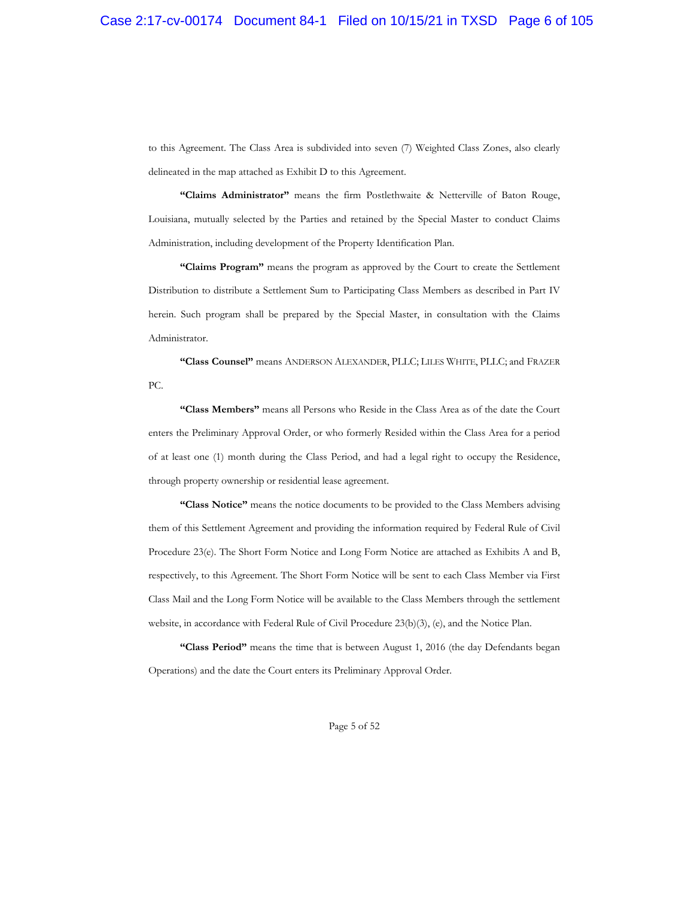to this Agreement. The Class Area is subdivided into seven (7) Weighted Class Zones, also clearly delineated in the map attached as Exhibit D to this Agreement.

**"Claims Administrator"** means the firm Postlethwaite & Netterville of Baton Rouge, Louisiana, mutually selected by the Parties and retained by the Special Master to conduct Claims Administration, including development of the Property Identification Plan.

**"Claims Program"** means the program as approved by the Court to create the Settlement Distribution to distribute a Settlement Sum to Participating Class Members as described in Part IV herein. Such program shall be prepared by the Special Master, in consultation with the Claims Administrator.

**"Class Counsel"** means ANDERSON ALEXANDER, PLLC; LILES WHITE, PLLC; and FRAZER PC.

**"Class Members"** means all Persons who Reside in the Class Area as of the date the Court enters the Preliminary Approval Order, or who formerly Resided within the Class Area for a period of at least one (1) month during the Class Period, and had a legal right to occupy the Residence, through property ownership or residential lease agreement.

**"Class Notice"** means the notice documents to be provided to the Class Members advising them of this Settlement Agreement and providing the information required by Federal Rule of Civil Procedure 23(e). The Short Form Notice and Long Form Notice are attached as Exhibits A and B, respectively, to this Agreement. The Short Form Notice will be sent to each Class Member via First Class Mail and the Long Form Notice will be available to the Class Members through the settlement website, in accordance with Federal Rule of Civil Procedure 23(b)(3), (e), and the Notice Plan.

**"Class Period"** means the time that is between August 1, 2016 (the day Defendants began Operations) and the date the Court enters its Preliminary Approval Order.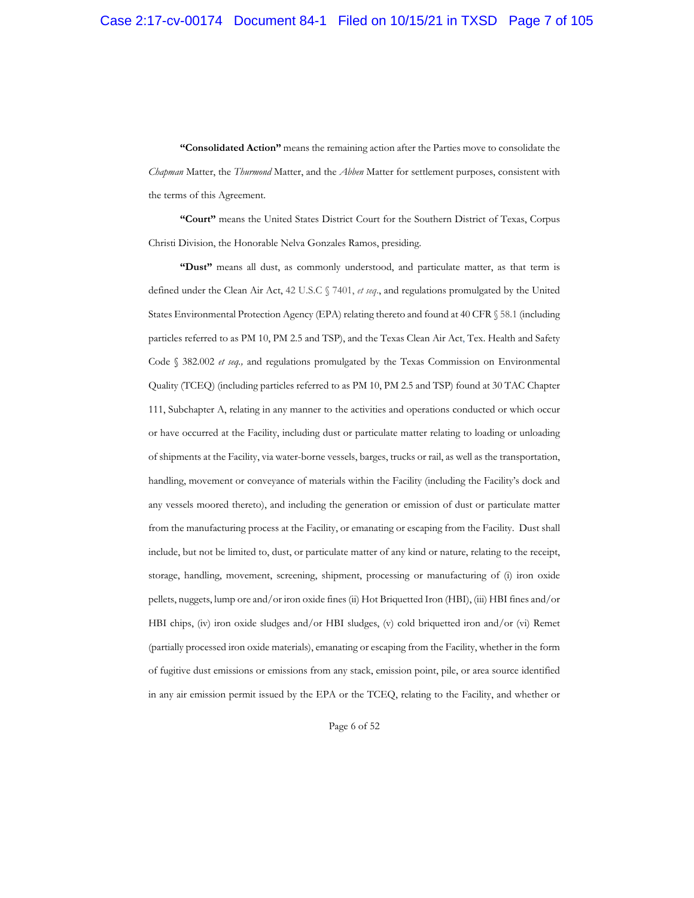**"Consolidated Action"** means the remaining action after the Parties move to consolidate the *Chapman* Matter, the *Thurmond* Matter, and the *Abben* Matter for settlement purposes, consistent with the terms of this Agreement.

**"Court"** means the United States District Court for the Southern District of Texas, Corpus Christi Division, the Honorable Nelva Gonzales Ramos, presiding.

**"Dust"** means all dust, as commonly understood, and particulate matter, as that term is defined under the Clean Air Act, 42 U.S.C § 7401, *et seq*., and regulations promulgated by the United States Environmental Protection Agency (EPA) relating thereto and found at 40 CFR § 58.1 (including particles referred to as PM 10, PM 2.5 and TSP), and the Texas Clean Air Act, Tex. Health and Safety Code § 382.002 *et seq.,* and regulations promulgated by the Texas Commission on Environmental Quality (TCEQ) (including particles referred to as PM 10, PM 2.5 and TSP) found at 30 TAC Chapter 111, Subchapter A, relating in any manner to the activities and operations conducted or which occur or have occurred at the Facility, including dust or particulate matter relating to loading or unloading of shipments at the Facility, via water-borne vessels, barges, trucks or rail, as well as the transportation, handling, movement or conveyance of materials within the Facility (including the Facility's dock and any vessels moored thereto), and including the generation or emission of dust or particulate matter from the manufacturing process at the Facility, or emanating or escaping from the Facility. Dust shall include, but not be limited to, dust, or particulate matter of any kind or nature, relating to the receipt, storage, handling, movement, screening, shipment, processing or manufacturing of (i) iron oxide pellets, nuggets, lump ore and/or iron oxide fines (ii) Hot Briquetted Iron (HBI), (iii) HBI fines and/or HBI chips, (iv) iron oxide sludges and/or HBI sludges, (v) cold briquetted iron and/or (vi) Remet (partially processed iron oxide materials), emanating or escaping from the Facility, whether in the form of fugitive dust emissions or emissions from any stack, emission point, pile, or area source identified in any air emission permit issued by the EPA or the TCEQ, relating to the Facility, and whether or

Page 6 of 52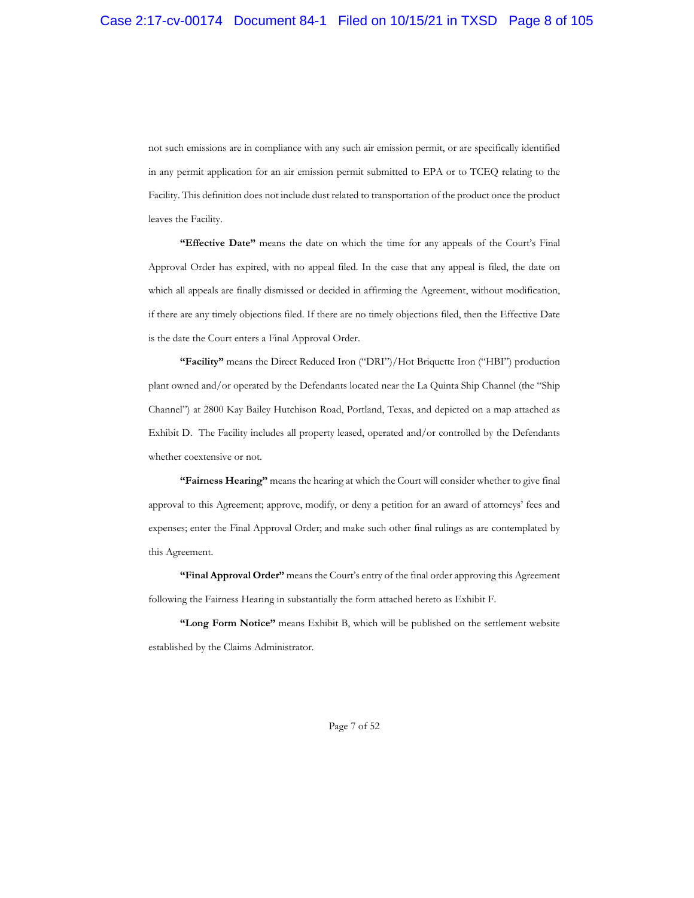not such emissions are in compliance with any such air emission permit, or are specifically identified in any permit application for an air emission permit submitted to EPA or to TCEQ relating to the Facility. This definition does not include dust related to transportation of the product once the product leaves the Facility.

**"Effective Date"** means the date on which the time for any appeals of the Court's Final Approval Order has expired, with no appeal filed. In the case that any appeal is filed, the date on which all appeals are finally dismissed or decided in affirming the Agreement, without modification, if there are any timely objections filed. If there are no timely objections filed, then the Effective Date is the date the Court enters a Final Approval Order.

**"Facility"** means the Direct Reduced Iron ("DRI")/Hot Briquette Iron ("HBI") production plant owned and/or operated by the Defendants located near the La Quinta Ship Channel (the "Ship Channel") at 2800 Kay Bailey Hutchison Road, Portland, Texas, and depicted on a map attached as Exhibit D. The Facility includes all property leased, operated and/or controlled by the Defendants whether coextensive or not.

**"Fairness Hearing"** means the hearing at which the Court will consider whether to give final approval to this Agreement; approve, modify, or deny a petition for an award of attorneys' fees and expenses; enter the Final Approval Order; and make such other final rulings as are contemplated by this Agreement.

**"Final Approval Order"** means the Court's entry of the final order approving this Agreement following the Fairness Hearing in substantially the form attached hereto as Exhibit F.

**"Long Form Notice"** means Exhibit B, which will be published on the settlement website established by the Claims Administrator.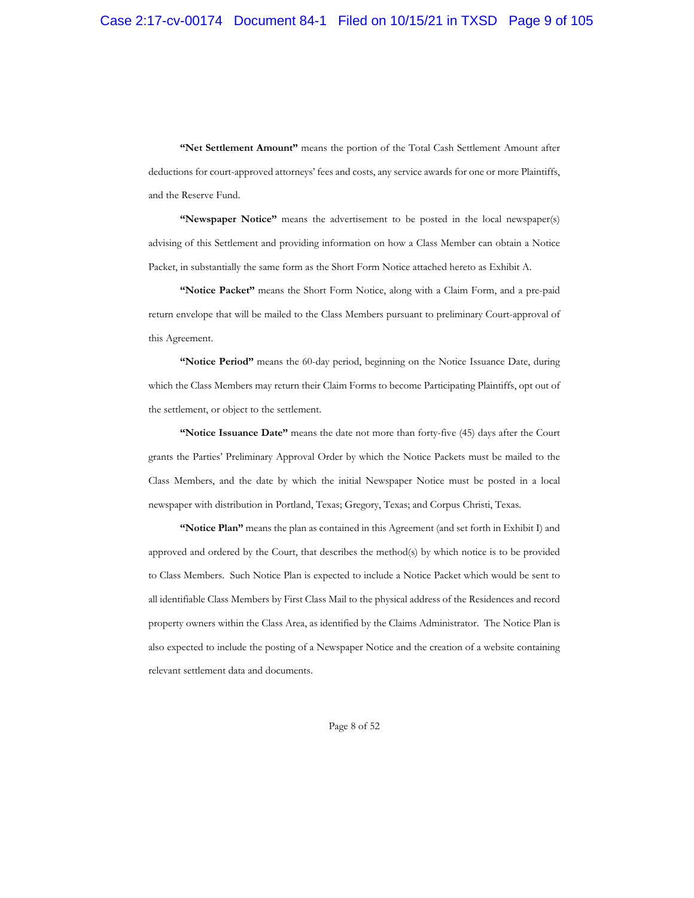**"Net Settlement Amount"** means the portion of the Total Cash Settlement Amount after deductions for court-approved attorneys' fees and costs, any service awards for one or more Plaintiffs, and the Reserve Fund.

**"Newspaper Notice"** means the advertisement to be posted in the local newspaper(s) advising of this Settlement and providing information on how a Class Member can obtain a Notice Packet, in substantially the same form as the Short Form Notice attached hereto as Exhibit A.

**"Notice Packet"** means the Short Form Notice, along with a Claim Form, and a pre-paid return envelope that will be mailed to the Class Members pursuant to preliminary Court-approval of this Agreement.

**"Notice Period"** means the 60-day period, beginning on the Notice Issuance Date, during which the Class Members may return their Claim Forms to become Participating Plaintiffs, opt out of the settlement, or object to the settlement.

**"Notice Issuance Date"** means the date not more than forty-five (45) days after the Court grants the Parties' Preliminary Approval Order by which the Notice Packets must be mailed to the Class Members, and the date by which the initial Newspaper Notice must be posted in a local newspaper with distribution in Portland, Texas; Gregory, Texas; and Corpus Christi, Texas.

**"Notice Plan"** means the plan as contained in this Agreement (and set forth in Exhibit I) and approved and ordered by the Court, that describes the method(s) by which notice is to be provided to Class Members. Such Notice Plan is expected to include a Notice Packet which would be sent to all identifiable Class Members by First Class Mail to the physical address of the Residences and record property owners within the Class Area, as identified by the Claims Administrator. The Notice Plan is also expected to include the posting of a Newspaper Notice and the creation of a website containing relevant settlement data and documents.

Page 8 of 52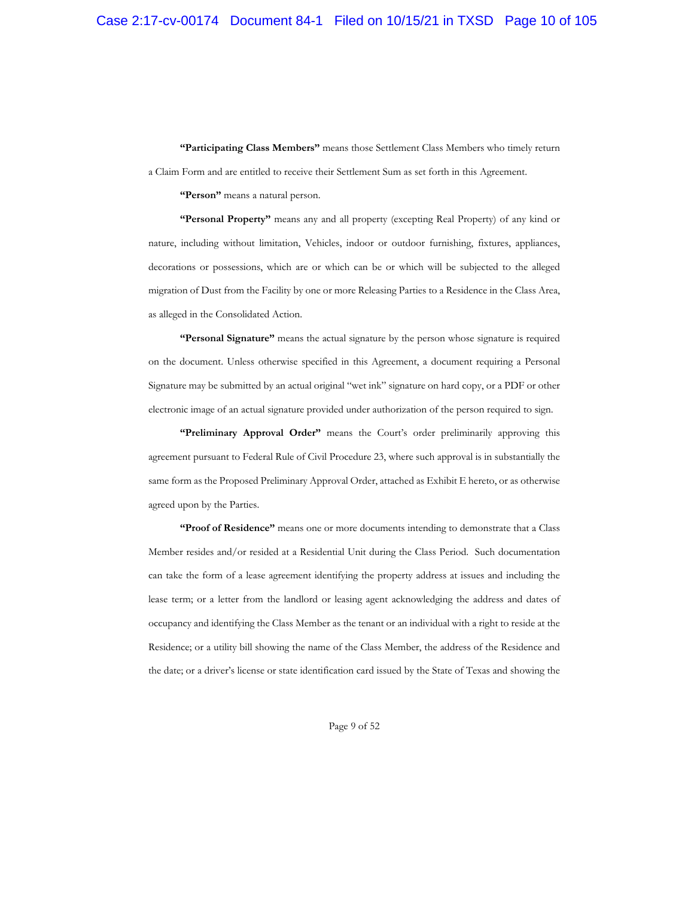**"Participating Class Members"** means those Settlement Class Members who timely return a Claim Form and are entitled to receive their Settlement Sum as set forth in this Agreement.

**"Person"** means a natural person.

**"Personal Property"** means any and all property (excepting Real Property) of any kind or nature, including without limitation, Vehicles, indoor or outdoor furnishing, fixtures, appliances, decorations or possessions, which are or which can be or which will be subjected to the alleged migration of Dust from the Facility by one or more Releasing Parties to a Residence in the Class Area, as alleged in the Consolidated Action.

**"Personal Signature"** means the actual signature by the person whose signature is required on the document. Unless otherwise specified in this Agreement, a document requiring a Personal Signature may be submitted by an actual original "wet ink" signature on hard copy, or a PDF or other electronic image of an actual signature provided under authorization of the person required to sign.

**"Preliminary Approval Order"** means the Court's order preliminarily approving this agreement pursuant to Federal Rule of Civil Procedure 23, where such approval is in substantially the same form as the Proposed Preliminary Approval Order, attached as Exhibit E hereto, or as otherwise agreed upon by the Parties.

**"Proof of Residence"** means one or more documents intending to demonstrate that a Class Member resides and/or resided at a Residential Unit during the Class Period. Such documentation can take the form of a lease agreement identifying the property address at issues and including the lease term; or a letter from the landlord or leasing agent acknowledging the address and dates of occupancy and identifying the Class Member as the tenant or an individual with a right to reside at the Residence; or a utility bill showing the name of the Class Member, the address of the Residence and the date; or a driver's license or state identification card issued by the State of Texas and showing the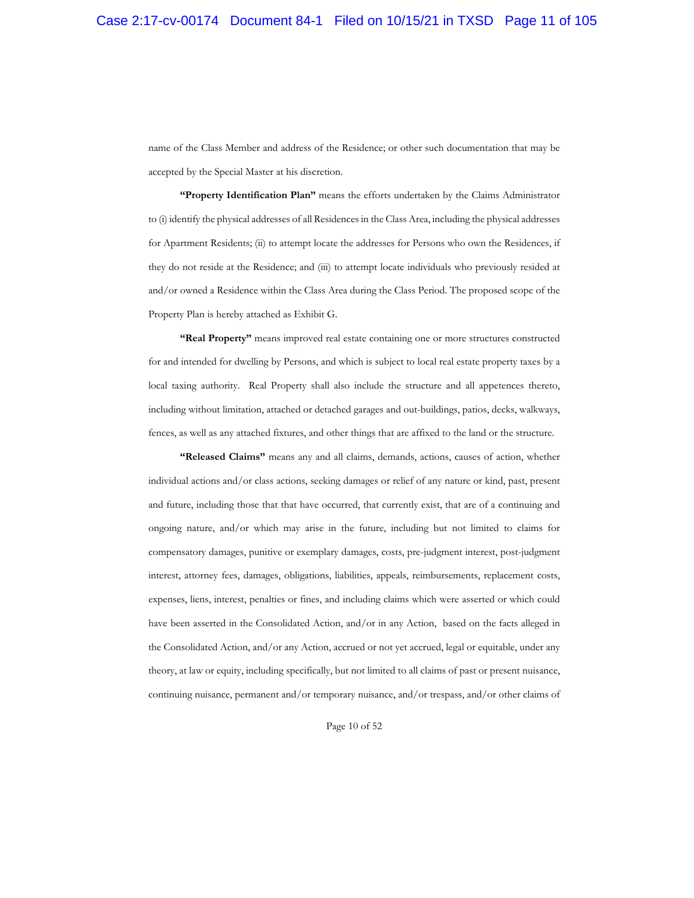name of the Class Member and address of the Residence; or other such documentation that may be accepted by the Special Master at his discretion.

**"Property Identification Plan"** means the efforts undertaken by the Claims Administrator to (i) identify the physical addresses of all Residences in the Class Area, including the physical addresses for Apartment Residents; (ii) to attempt locate the addresses for Persons who own the Residences, if they do not reside at the Residence; and (iii) to attempt locate individuals who previously resided at and/or owned a Residence within the Class Area during the Class Period. The proposed scope of the Property Plan is hereby attached as Exhibit G.

**"Real Property"** means improved real estate containing one or more structures constructed for and intended for dwelling by Persons, and which is subject to local real estate property taxes by a local taxing authority. Real Property shall also include the structure and all appetences thereto, including without limitation, attached or detached garages and out-buildings, patios, decks, walkways, fences, as well as any attached fixtures, and other things that are affixed to the land or the structure.

**"Released Claims"** means any and all claims, demands, actions, causes of action, whether individual actions and/or class actions, seeking damages or relief of any nature or kind, past, present and future, including those that that have occurred, that currently exist, that are of a continuing and ongoing nature, and/or which may arise in the future, including but not limited to claims for compensatory damages, punitive or exemplary damages, costs, pre-judgment interest, post-judgment interest, attorney fees, damages, obligations, liabilities, appeals, reimbursements, replacement costs, expenses, liens, interest, penalties or fines, and including claims which were asserted or which could have been asserted in the Consolidated Action, and/or in any Action, based on the facts alleged in the Consolidated Action, and/or any Action, accrued or not yet accrued, legal or equitable, under any theory, at law or equity, including specifically, but not limited to all claims of past or present nuisance, continuing nuisance, permanent and/or temporary nuisance, and/or trespass, and/or other claims of

Page 10 of 52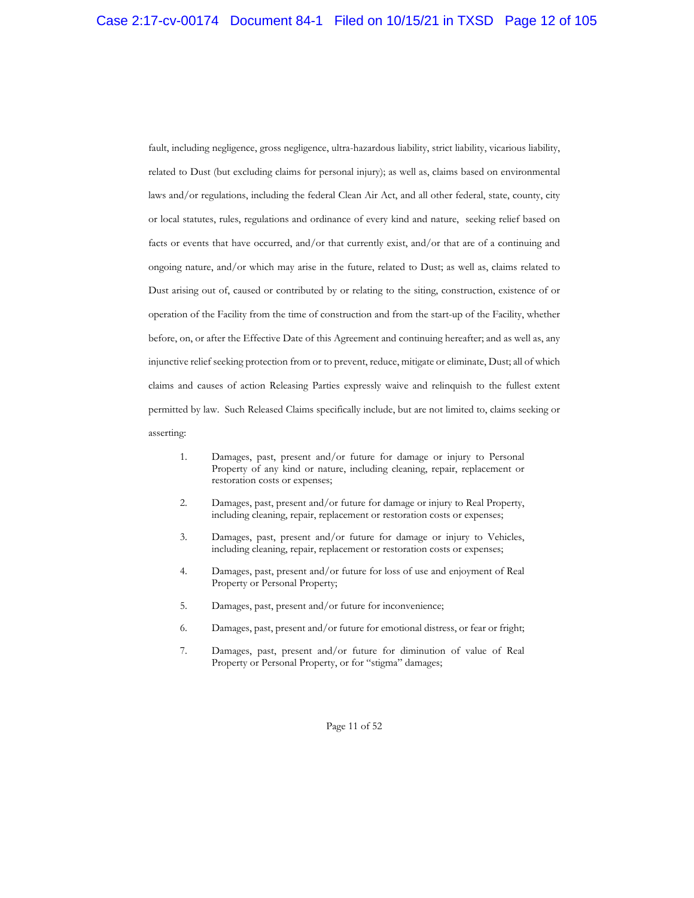fault, including negligence, gross negligence, ultra-hazardous liability, strict liability, vicarious liability, related to Dust (but excluding claims for personal injury); as well as, claims based on environmental laws and/or regulations, including the federal Clean Air Act, and all other federal, state, county, city or local statutes, rules, regulations and ordinance of every kind and nature, seeking relief based on facts or events that have occurred, and/or that currently exist, and/or that are of a continuing and ongoing nature, and/or which may arise in the future, related to Dust; as well as, claims related to Dust arising out of, caused or contributed by or relating to the siting, construction, existence of or operation of the Facility from the time of construction and from the start-up of the Facility, whether before, on, or after the Effective Date of this Agreement and continuing hereafter; and as well as, any injunctive relief seeking protection from or to prevent, reduce, mitigate or eliminate, Dust; all of which claims and causes of action Releasing Parties expressly waive and relinquish to the fullest extent permitted by law. Such Released Claims specifically include, but are not limited to, claims seeking or asserting:

- 1. Damages, past, present and/or future for damage or injury to Personal Property of any kind or nature, including cleaning, repair, replacement or restoration costs or expenses;
- 2. Damages, past, present and/or future for damage or injury to Real Property, including cleaning, repair, replacement or restoration costs or expenses;
- 3. Damages, past, present and/or future for damage or injury to Vehicles, including cleaning, repair, replacement or restoration costs or expenses;
- 4. Damages, past, present and/or future for loss of use and enjoyment of Real Property or Personal Property;
- 5. Damages, past, present and/or future for inconvenience;
- 6. Damages, past, present and/or future for emotional distress, or fear or fright;
- 7. Damages, past, present and/or future for diminution of value of Real Property or Personal Property, or for "stigma" damages;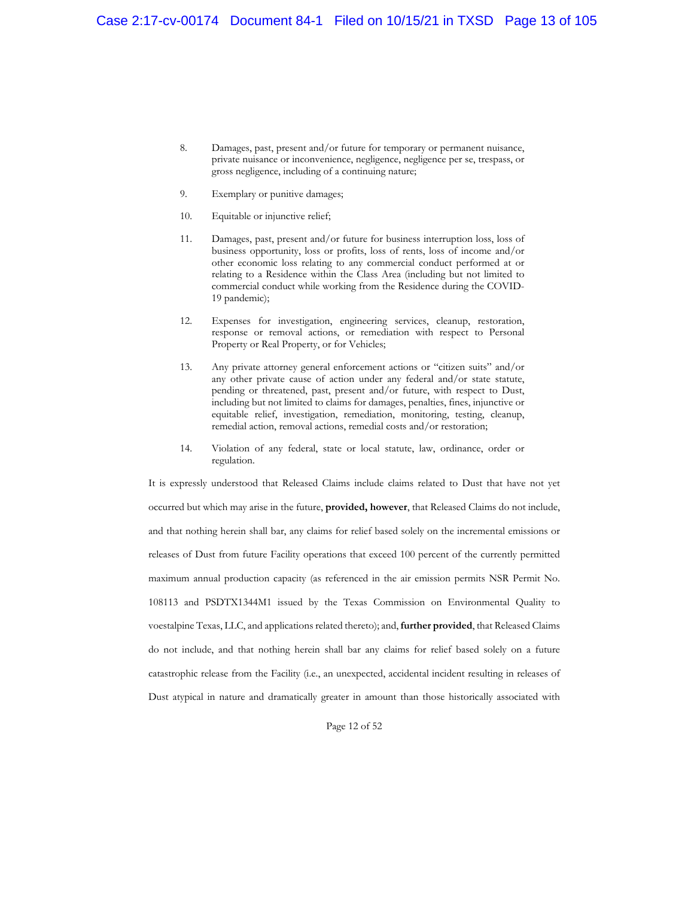- 8. Damages, past, present and/or future for temporary or permanent nuisance, private nuisance or inconvenience, negligence, negligence per se, trespass, or gross negligence, including of a continuing nature;
- 9. Exemplary or punitive damages;
- 10. Equitable or injunctive relief;
- 11. Damages, past, present and/or future for business interruption loss, loss of business opportunity, loss or profits, loss of rents, loss of income and/or other economic loss relating to any commercial conduct performed at or relating to a Residence within the Class Area (including but not limited to commercial conduct while working from the Residence during the COVID-19 pandemic);
- 12. Expenses for investigation, engineering services, cleanup, restoration, response or removal actions, or remediation with respect to Personal Property or Real Property, or for Vehicles;
- 13. Any private attorney general enforcement actions or "citizen suits" and/or any other private cause of action under any federal and/or state statute, pending or threatened, past, present and/or future, with respect to Dust, including but not limited to claims for damages, penalties, fines, injunctive or equitable relief, investigation, remediation, monitoring, testing, cleanup, remedial action, removal actions, remedial costs and/or restoration;
- 14. Violation of any federal, state or local statute, law, ordinance, order or regulation.

It is expressly understood that Released Claims include claims related to Dust that have not yet occurred but which may arise in the future, **provided, however**, that Released Claims do not include, and that nothing herein shall bar, any claims for relief based solely on the incremental emissions or releases of Dust from future Facility operations that exceed 100 percent of the currently permitted maximum annual production capacity (as referenced in the air emission permits NSR Permit No. 108113 and PSDTX1344M1 issued by the Texas Commission on Environmental Quality to voestalpine Texas, LLC, and applications related thereto); and, **further provided**, that Released Claims do not include, and that nothing herein shall bar any claims for relief based solely on a future catastrophic release from the Facility (i.e., an unexpected, accidental incident resulting in releases of Dust atypical in nature and dramatically greater in amount than those historically associated with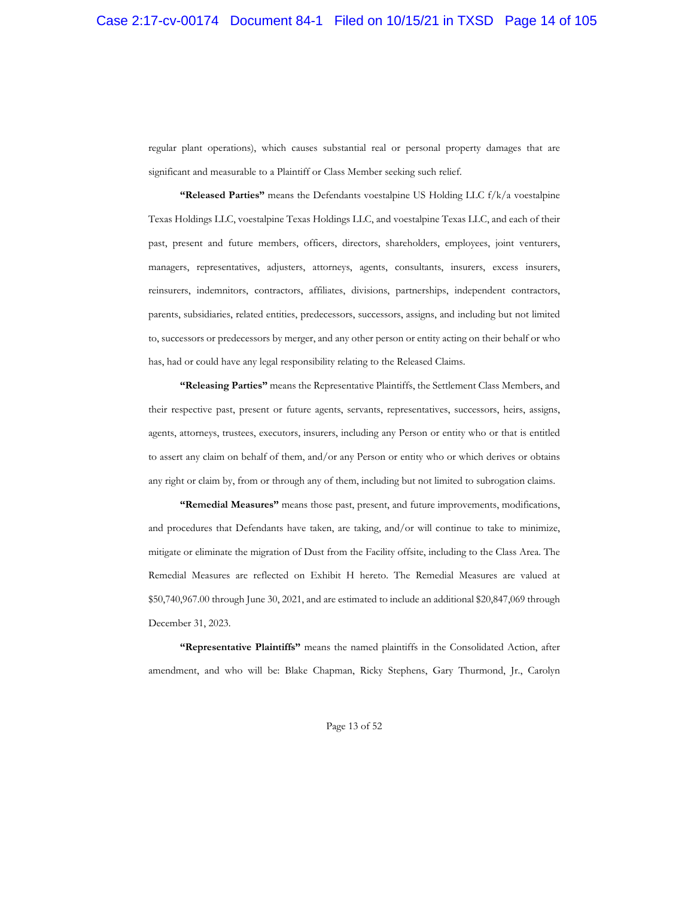regular plant operations), which causes substantial real or personal property damages that are significant and measurable to a Plaintiff or Class Member seeking such relief.

**"Released Parties"** means the Defendants voestalpine US Holding LLC f/k/a voestalpine Texas Holdings LLC, voestalpine Texas Holdings LLC, and voestalpine Texas LLC, and each of their past, present and future members, officers, directors, shareholders, employees, joint venturers, managers, representatives, adjusters, attorneys, agents, consultants, insurers, excess insurers, reinsurers, indemnitors, contractors, affiliates, divisions, partnerships, independent contractors, parents, subsidiaries, related entities, predecessors, successors, assigns, and including but not limited to, successors or predecessors by merger, and any other person or entity acting on their behalf or who has, had or could have any legal responsibility relating to the Released Claims.

**"Releasing Parties"** means the Representative Plaintiffs, the Settlement Class Members, and their respective past, present or future agents, servants, representatives, successors, heirs, assigns, agents, attorneys, trustees, executors, insurers, including any Person or entity who or that is entitled to assert any claim on behalf of them, and/or any Person or entity who or which derives or obtains any right or claim by, from or through any of them, including but not limited to subrogation claims.

**"Remedial Measures"** means those past, present, and future improvements, modifications, and procedures that Defendants have taken, are taking, and/or will continue to take to minimize, mitigate or eliminate the migration of Dust from the Facility offsite, including to the Class Area. The Remedial Measures are reflected on Exhibit H hereto. The Remedial Measures are valued at \$50,740,967.00 through June 30, 2021, and are estimated to include an additional \$20,847,069 through December 31, 2023.

**"Representative Plaintiffs"** means the named plaintiffs in the Consolidated Action, after amendment, and who will be: Blake Chapman, Ricky Stephens, Gary Thurmond, Jr., Carolyn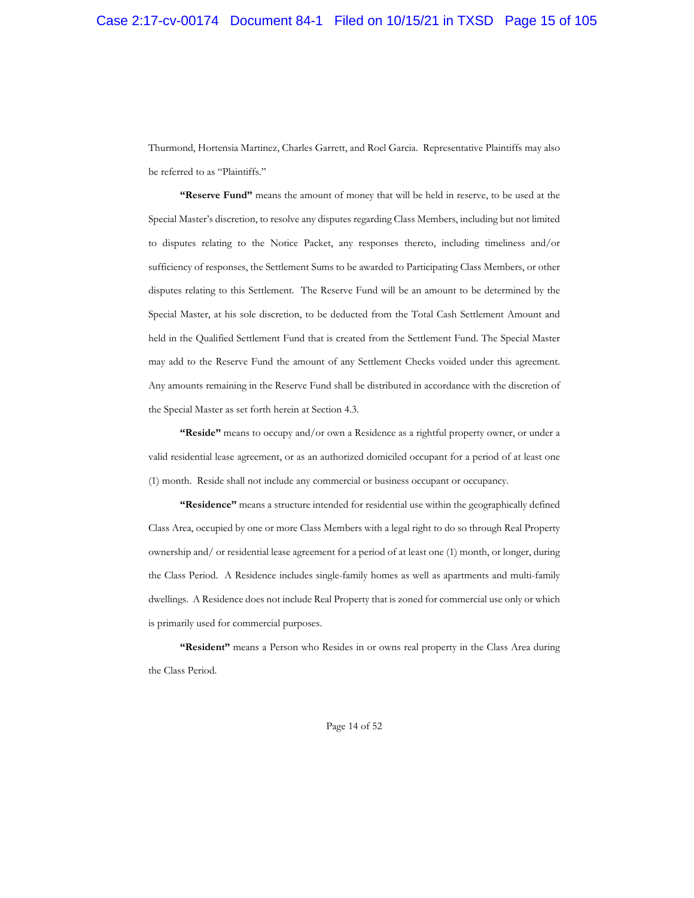Thurmond, Hortensia Martinez, Charles Garrett, and Roel Garcia. Representative Plaintiffs may also be referred to as "Plaintiffs."

**"Reserve Fund"** means the amount of money that will be held in reserve, to be used at the Special Master's discretion, to resolve any disputes regarding Class Members, including but not limited to disputes relating to the Notice Packet, any responses thereto, including timeliness and/or sufficiency of responses, the Settlement Sums to be awarded to Participating Class Members, or other disputes relating to this Settlement. The Reserve Fund will be an amount to be determined by the Special Master, at his sole discretion, to be deducted from the Total Cash Settlement Amount and held in the Qualified Settlement Fund that is created from the Settlement Fund. The Special Master may add to the Reserve Fund the amount of any Settlement Checks voided under this agreement. Any amounts remaining in the Reserve Fund shall be distributed in accordance with the discretion of the Special Master as set forth herein at Section 4.3.

**"Reside"** means to occupy and/or own a Residence as a rightful property owner, or under a valid residential lease agreement, or as an authorized domiciled occupant for a period of at least one (1) month. Reside shall not include any commercial or business occupant or occupancy.

**"Residence"** means a structure intended for residential use within the geographically defined Class Area, occupied by one or more Class Members with a legal right to do so through Real Property ownership and/ or residential lease agreement for a period of at least one (1) month, or longer, during the Class Period. A Residence includes single-family homes as well as apartments and multi-family dwellings. A Residence does not include Real Property that is zoned for commercial use only or which is primarily used for commercial purposes.

**"Resident"** means a Person who Resides in or owns real property in the Class Area during the Class Period.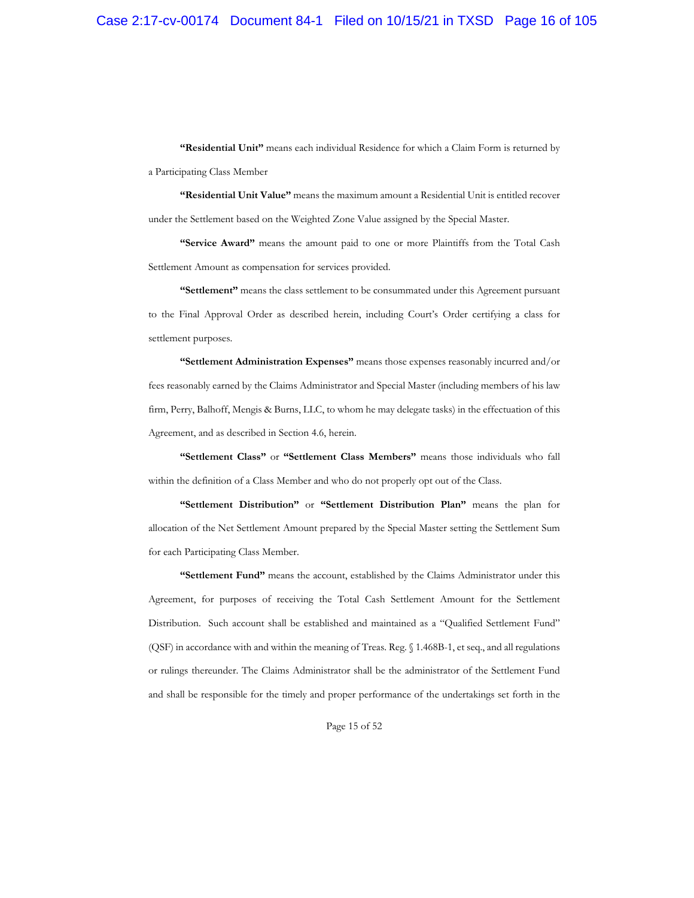**"Residential Unit"** means each individual Residence for which a Claim Form is returned by a Participating Class Member

**"Residential Unit Value"** means the maximum amount a Residential Unit is entitled recover under the Settlement based on the Weighted Zone Value assigned by the Special Master.

**"Service Award"** means the amount paid to one or more Plaintiffs from the Total Cash Settlement Amount as compensation for services provided.

**"Settlement"** means the class settlement to be consummated under this Agreement pursuant to the Final Approval Order as described herein, including Court's Order certifying a class for settlement purposes.

**"Settlement Administration Expenses"** means those expenses reasonably incurred and/or fees reasonably earned by the Claims Administrator and Special Master (including members of his law firm, Perry, Balhoff, Mengis & Burns, LLC, to whom he may delegate tasks) in the effectuation of this Agreement, and as described in Section 4.6, herein.

**"Settlement Class"** or **"Settlement Class Members"** means those individuals who fall within the definition of a Class Member and who do not properly opt out of the Class.

**"Settlement Distribution"** or **"Settlement Distribution Plan"** means the plan for allocation of the Net Settlement Amount prepared by the Special Master setting the Settlement Sum for each Participating Class Member.

**"Settlement Fund"** means the account, established by the Claims Administrator under this Agreement, for purposes of receiving the Total Cash Settlement Amount for the Settlement Distribution. Such account shall be established and maintained as a "Qualified Settlement Fund" (QSF) in accordance with and within the meaning of Treas. Reg. § 1.468B-1, et seq., and all regulations or rulings thereunder. The Claims Administrator shall be the administrator of the Settlement Fund and shall be responsible for the timely and proper performance of the undertakings set forth in the

Page 15 of 52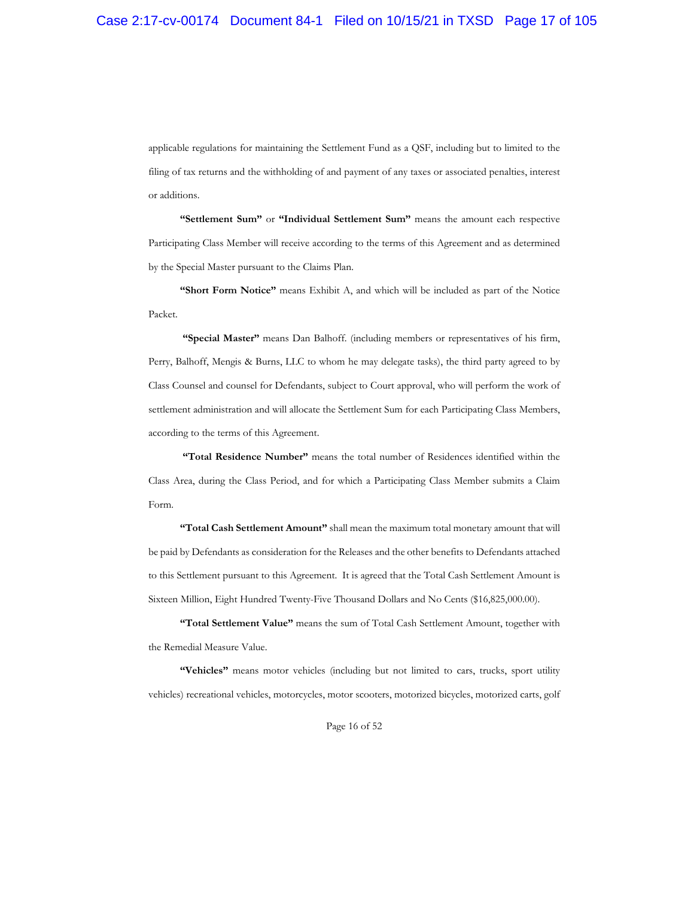applicable regulations for maintaining the Settlement Fund as a QSF, including but to limited to the filing of tax returns and the withholding of and payment of any taxes or associated penalties, interest or additions.

**"Settlement Sum"** or **"Individual Settlement Sum"** means the amount each respective Participating Class Member will receive according to the terms of this Agreement and as determined by the Special Master pursuant to the Claims Plan.

**"Short Form Notice"** means Exhibit A, and which will be included as part of the Notice Packet.

**"Special Master"** means Dan Balhoff. (including members or representatives of his firm, Perry, Balhoff, Mengis & Burns, LLC to whom he may delegate tasks), the third party agreed to by Class Counsel and counsel for Defendants, subject to Court approval, who will perform the work of settlement administration and will allocate the Settlement Sum for each Participating Class Members, according to the terms of this Agreement.

**"Total Residence Number"** means the total number of Residences identified within the Class Area, during the Class Period, and for which a Participating Class Member submits a Claim Form.

**"Total Cash Settlement Amount"** shall mean the maximum total monetary amount that will be paid by Defendants as consideration for the Releases and the other benefits to Defendants attached to this Settlement pursuant to this Agreement. It is agreed that the Total Cash Settlement Amount is Sixteen Million, Eight Hundred Twenty-Five Thousand Dollars and No Cents (\$16,825,000.00).

**"Total Settlement Value"** means the sum of Total Cash Settlement Amount, together with the Remedial Measure Value.

**"Vehicles"** means motor vehicles (including but not limited to cars, trucks, sport utility vehicles) recreational vehicles, motorcycles, motor scooters, motorized bicycles, motorized carts, golf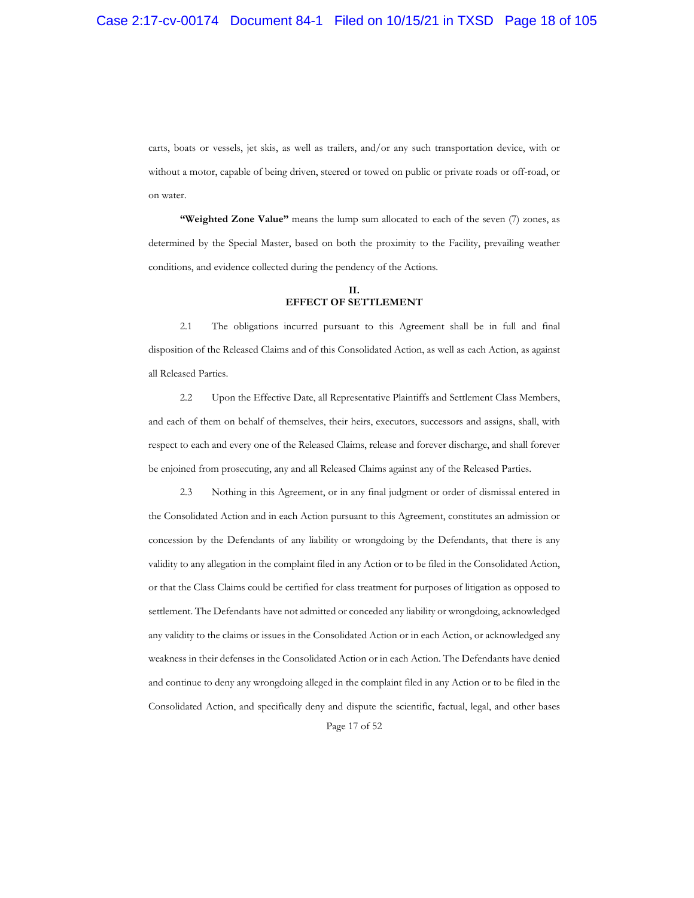carts, boats or vessels, jet skis, as well as trailers, and/or any such transportation device, with or without a motor, capable of being driven, steered or towed on public or private roads or off-road, or on water.

"Weighted Zone Value" means the lump sum allocated to each of the seven (7) zones, as determined by the Special Master, based on both the proximity to the Facility, prevailing weather conditions, and evidence collected during the pendency of the Actions.

#### **II. EFFECT OF SETTLEMENT**

2.1 The obligations incurred pursuant to this Agreement shall be in full and final disposition of the Released Claims and of this Consolidated Action, as well as each Action, as against all Released Parties.

2.2 Upon the Effective Date, all Representative Plaintiffs and Settlement Class Members, and each of them on behalf of themselves, their heirs, executors, successors and assigns, shall, with respect to each and every one of the Released Claims, release and forever discharge, and shall forever be enjoined from prosecuting, any and all Released Claims against any of the Released Parties.

Page 17 of 52 2.3 Nothing in this Agreement, or in any final judgment or order of dismissal entered in the Consolidated Action and in each Action pursuant to this Agreement, constitutes an admission or concession by the Defendants of any liability or wrongdoing by the Defendants, that there is any validity to any allegation in the complaint filed in any Action or to be filed in the Consolidated Action, or that the Class Claims could be certified for class treatment for purposes of litigation as opposed to settlement. The Defendants have not admitted or conceded any liability or wrongdoing, acknowledged any validity to the claims or issues in the Consolidated Action or in each Action, or acknowledged any weakness in their defenses in the Consolidated Action or in each Action. The Defendants have denied and continue to deny any wrongdoing alleged in the complaint filed in any Action or to be filed in the Consolidated Action, and specifically deny and dispute the scientific, factual, legal, and other bases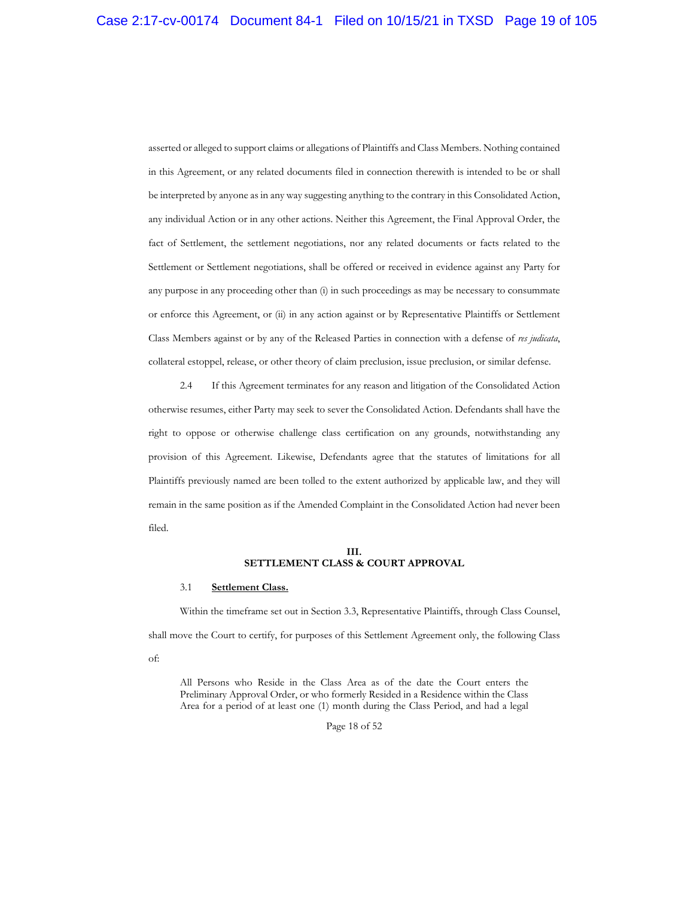asserted or alleged to support claims or allegations of Plaintiffs and Class Members. Nothing contained in this Agreement, or any related documents filed in connection therewith is intended to be or shall be interpreted by anyone as in any way suggesting anything to the contrary in this Consolidated Action, any individual Action or in any other actions. Neither this Agreement, the Final Approval Order, the fact of Settlement, the settlement negotiations, nor any related documents or facts related to the Settlement or Settlement negotiations, shall be offered or received in evidence against any Party for any purpose in any proceeding other than (i) in such proceedings as may be necessary to consummate or enforce this Agreement, or (ii) in any action against or by Representative Plaintiffs or Settlement Class Members against or by any of the Released Parties in connection with a defense of *res judicata*, collateral estoppel, release, or other theory of claim preclusion, issue preclusion, or similar defense.

2.4 If this Agreement terminates for any reason and litigation of the Consolidated Action otherwise resumes, either Party may seek to sever the Consolidated Action. Defendants shall have the right to oppose or otherwise challenge class certification on any grounds, notwithstanding any provision of this Agreement. Likewise, Defendants agree that the statutes of limitations for all Plaintiffs previously named are been tolled to the extent authorized by applicable law, and they will remain in the same position as if the Amended Complaint in the Consolidated Action had never been filed.

#### **III. SETTLEMENT CLASS & COURT APPROVAL**

## 3.1 **Settlement Class.**

Within the timeframe set out in Section 3.3, Representative Plaintiffs, through Class Counsel, shall move the Court to certify, for purposes of this Settlement Agreement only, the following Class of:

All Persons who Reside in the Class Area as of the date the Court enters the Preliminary Approval Order, or who formerly Resided in a Residence within the Class Area for a period of at least one (1) month during the Class Period, and had a legal

Page 18 of 52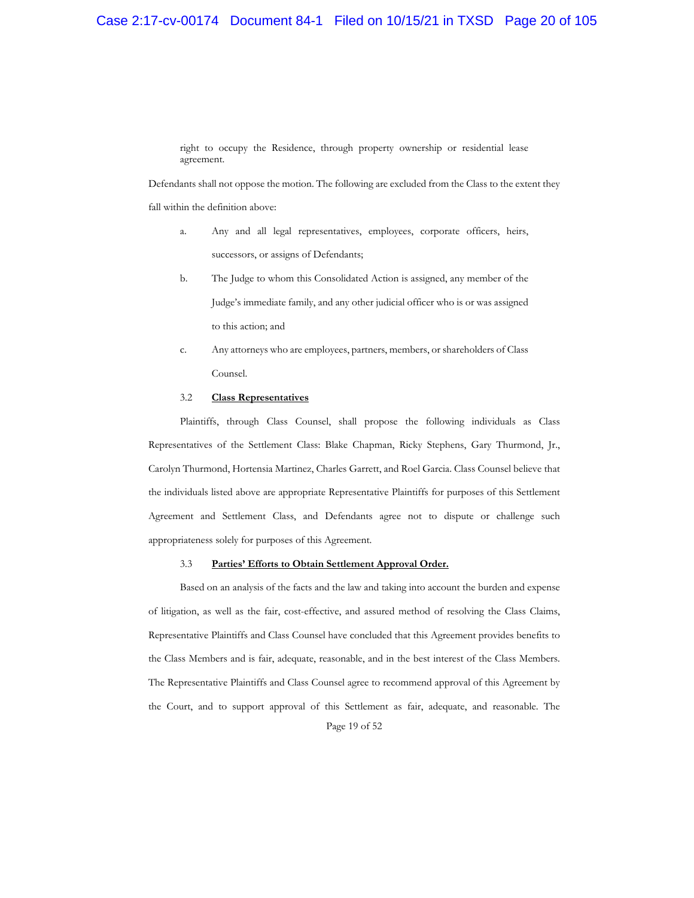## Case 2:17-cv-00174 Document 84-1 Filed on 10/15/21 in TXSD Page 20 of 105

right to occupy the Residence, through property ownership or residential lease agreement.

Defendants shall not oppose the motion. The following are excluded from the Class to the extent they

fall within the definition above:

- a. Any and all legal representatives, employees, corporate officers, heirs, successors, or assigns of Defendants;
- b. The Judge to whom this Consolidated Action is assigned, any member of the Judge's immediate family, and any other judicial officer who is or was assigned to this action; and
- c. Any attorneys who are employees, partners, members, or shareholders of Class Counsel.

#### 3.2 **Class Representatives**

Plaintiffs, through Class Counsel, shall propose the following individuals as Class Representatives of the Settlement Class: Blake Chapman, Ricky Stephens, Gary Thurmond, Jr., Carolyn Thurmond, Hortensia Martinez, Charles Garrett, and Roel Garcia. Class Counsel believe that the individuals listed above are appropriate Representative Plaintiffs for purposes of this Settlement Agreement and Settlement Class, and Defendants agree not to dispute or challenge such appropriateness solely for purposes of this Agreement.

#### 3.3 **Parties' Efforts to Obtain Settlement Approval Order.**

Page 19 of 52 Based on an analysis of the facts and the law and taking into account the burden and expense of litigation, as well as the fair, cost-effective, and assured method of resolving the Class Claims, Representative Plaintiffs and Class Counsel have concluded that this Agreement provides benefits to the Class Members and is fair, adequate, reasonable, and in the best interest of the Class Members. The Representative Plaintiffs and Class Counsel agree to recommend approval of this Agreement by the Court, and to support approval of this Settlement as fair, adequate, and reasonable. The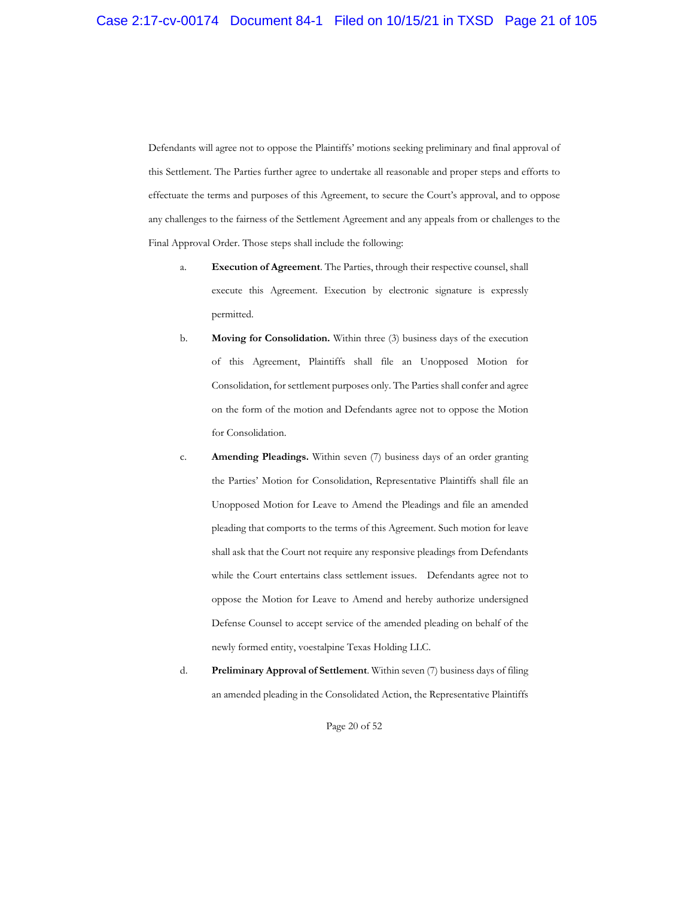Defendants will agree not to oppose the Plaintiffs' motions seeking preliminary and final approval of this Settlement. The Parties further agree to undertake all reasonable and proper steps and efforts to effectuate the terms and purposes of this Agreement, to secure the Court's approval, and to oppose any challenges to the fairness of the Settlement Agreement and any appeals from or challenges to the Final Approval Order. Those steps shall include the following:

- a. **Execution of Agreement**. The Parties, through their respective counsel, shall execute this Agreement. Execution by electronic signature is expressly permitted.
- b. **Moving for Consolidation.** Within three (3) business days of the execution of this Agreement, Plaintiffs shall file an Unopposed Motion for Consolidation, for settlement purposes only. The Parties shall confer and agree on the form of the motion and Defendants agree not to oppose the Motion for Consolidation.
- c. **Amending Pleadings.** Within seven (7) business days of an order granting the Parties' Motion for Consolidation, Representative Plaintiffs shall file an Unopposed Motion for Leave to Amend the Pleadings and file an amended pleading that comports to the terms of this Agreement. Such motion for leave shall ask that the Court not require any responsive pleadings from Defendants while the Court entertains class settlement issues. Defendants agree not to oppose the Motion for Leave to Amend and hereby authorize undersigned Defense Counsel to accept service of the amended pleading on behalf of the newly formed entity, voestalpine Texas Holding LLC.
- d. **Preliminary Approval of Settlement**. Within seven (7) business days of filing an amended pleading in the Consolidated Action, the Representative Plaintiffs

Page 20 of 52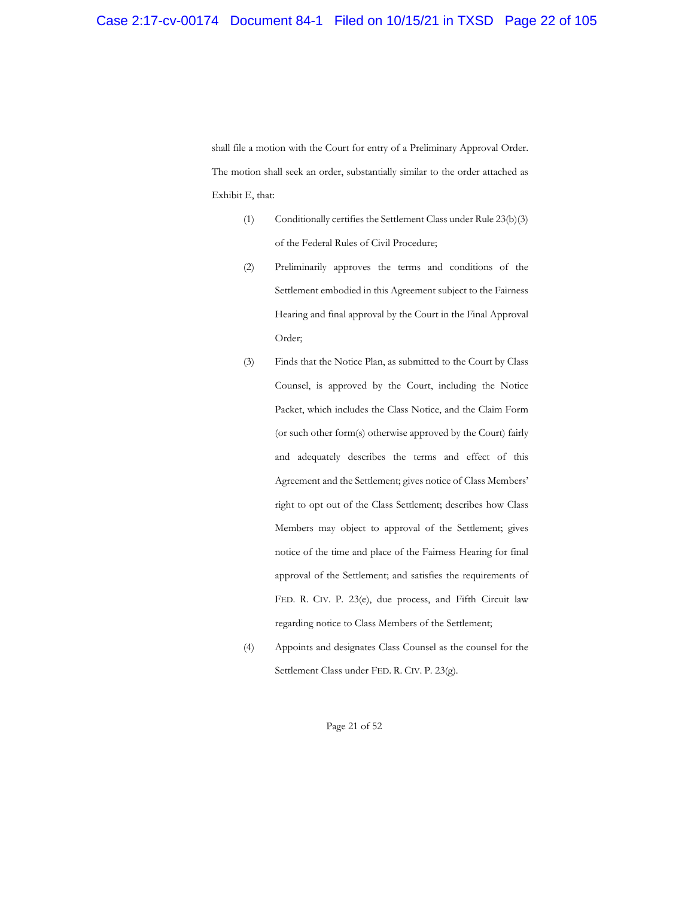shall file a motion with the Court for entry of a Preliminary Approval Order. The motion shall seek an order, substantially similar to the order attached as Exhibit E, that:

- (1) Conditionally certifies the Settlement Class under Rule 23(b)(3) of the Federal Rules of Civil Procedure;
- (2) Preliminarily approves the terms and conditions of the Settlement embodied in this Agreement subject to the Fairness Hearing and final approval by the Court in the Final Approval Order;
- (3) Finds that the Notice Plan, as submitted to the Court by Class Counsel, is approved by the Court, including the Notice Packet, which includes the Class Notice, and the Claim Form (or such other form(s) otherwise approved by the Court) fairly and adequately describes the terms and effect of this Agreement and the Settlement; gives notice of Class Members' right to opt out of the Class Settlement; describes how Class Members may object to approval of the Settlement; gives notice of the time and place of the Fairness Hearing for final approval of the Settlement; and satisfies the requirements of FED. R. CIV. P. 23(e), due process, and Fifth Circuit law regarding notice to Class Members of the Settlement;
- (4) Appoints and designates Class Counsel as the counsel for the Settlement Class under FED. R. CIV. P. 23(g).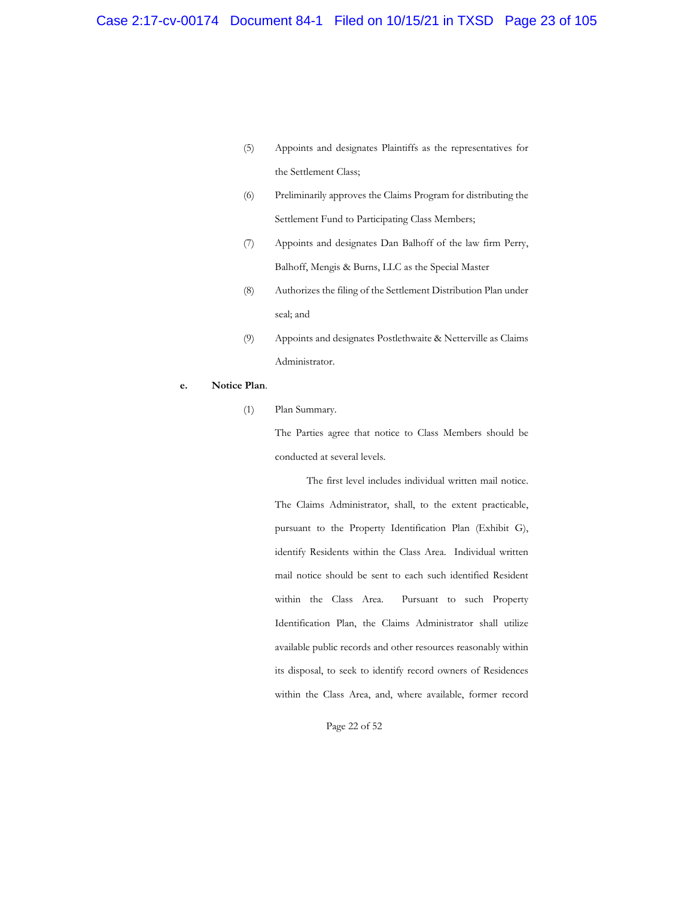- (5) Appoints and designates Plaintiffs as the representatives for the Settlement Class;
- (6) Preliminarily approves the Claims Program for distributing the Settlement Fund to Participating Class Members;
- (7) Appoints and designates Dan Balhoff of the law firm Perry, Balhoff, Mengis & Burns, LLC as the Special Master
- (8) Authorizes the filing of the Settlement Distribution Plan under seal; and
- (9) Appoints and designates Postlethwaite & Netterville as Claims Administrator.
- **e. Notice Plan**.
	- (1) Plan Summary.

The Parties agree that notice to Class Members should be conducted at several levels.

The first level includes individual written mail notice. The Claims Administrator, shall, to the extent practicable, pursuant to the Property Identification Plan (Exhibit G), identify Residents within the Class Area. Individual written mail notice should be sent to each such identified Resident within the Class Area. Pursuant to such Property Identification Plan, the Claims Administrator shall utilize available public records and other resources reasonably within its disposal, to seek to identify record owners of Residences within the Class Area, and, where available, former record

Page 22 of 52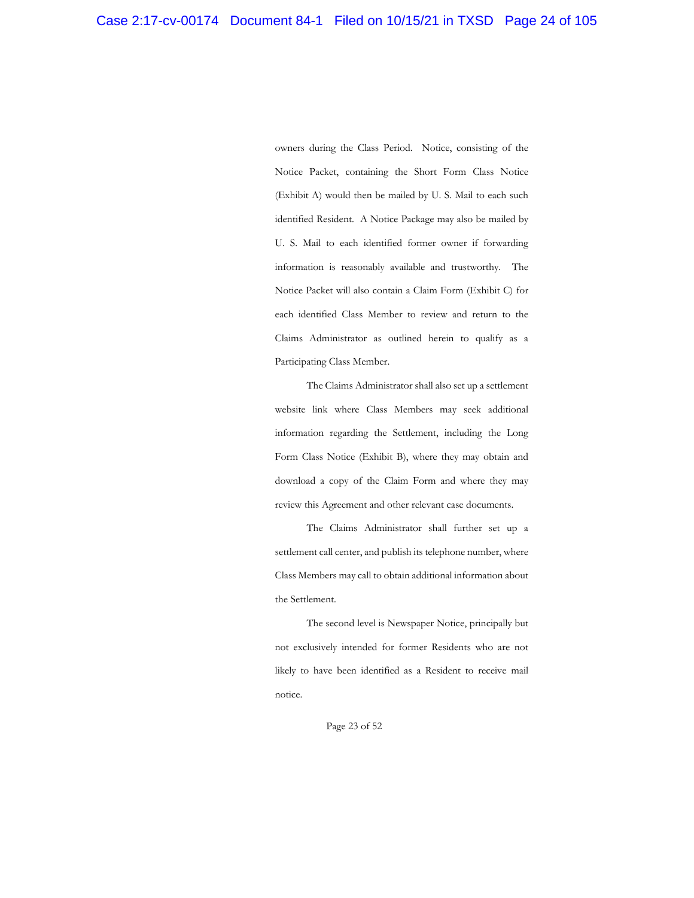owners during the Class Period. Notice, consisting of the Notice Packet, containing the Short Form Class Notice (Exhibit A) would then be mailed by U. S. Mail to each such identified Resident. A Notice Package may also be mailed by U. S. Mail to each identified former owner if forwarding information is reasonably available and trustworthy. The Notice Packet will also contain a Claim Form (Exhibit C) for each identified Class Member to review and return to the Claims Administrator as outlined herein to qualify as a Participating Class Member.

The Claims Administrator shall also set up a settlement website link where Class Members may seek additional information regarding the Settlement, including the Long Form Class Notice (Exhibit B), where they may obtain and download a copy of the Claim Form and where they may review this Agreement and other relevant case documents.

The Claims Administrator shall further set up a settlement call center, and publish its telephone number, where Class Members may call to obtain additional information about the Settlement.

The second level is Newspaper Notice, principally but not exclusively intended for former Residents who are not likely to have been identified as a Resident to receive mail notice.

Page 23 of 52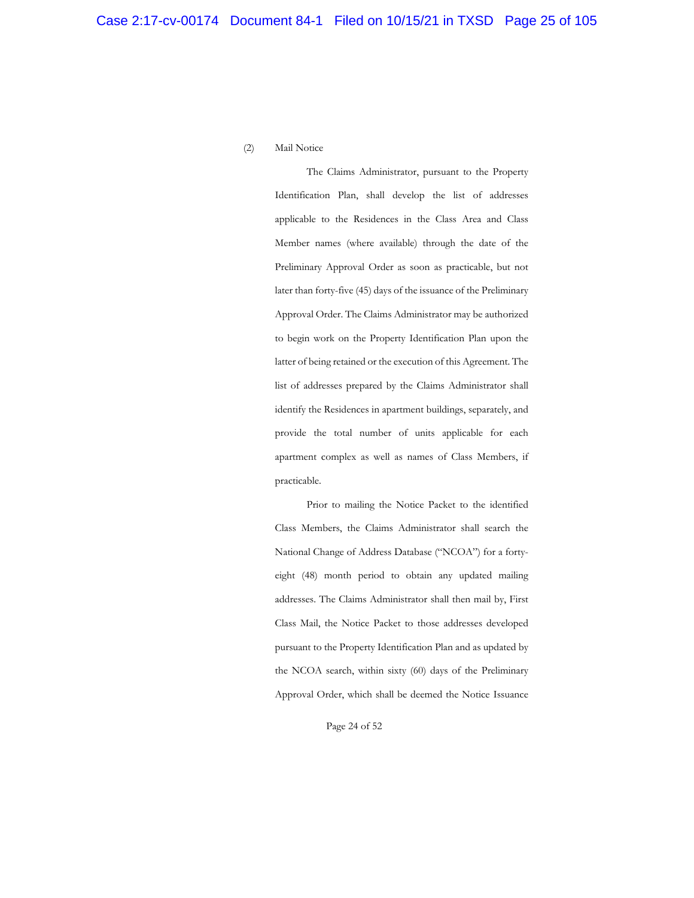## (2) Mail Notice

The Claims Administrator, pursuant to the Property Identification Plan, shall develop the list of addresses applicable to the Residences in the Class Area and Class Member names (where available) through the date of the Preliminary Approval Order as soon as practicable, but not later than forty-five (45) days of the issuance of the Preliminary Approval Order. The Claims Administrator may be authorized to begin work on the Property Identification Plan upon the latter of being retained or the execution of this Agreement. The list of addresses prepared by the Claims Administrator shall identify the Residences in apartment buildings, separately, and provide the total number of units applicable for each apartment complex as well as names of Class Members, if practicable.

Prior to mailing the Notice Packet to the identified Class Members, the Claims Administrator shall search the National Change of Address Database ("NCOA") for a fortyeight (48) month period to obtain any updated mailing addresses. The Claims Administrator shall then mail by, First Class Mail, the Notice Packet to those addresses developed pursuant to the Property Identification Plan and as updated by the NCOA search, within sixty (60) days of the Preliminary Approval Order, which shall be deemed the Notice Issuance

Page 24 of 52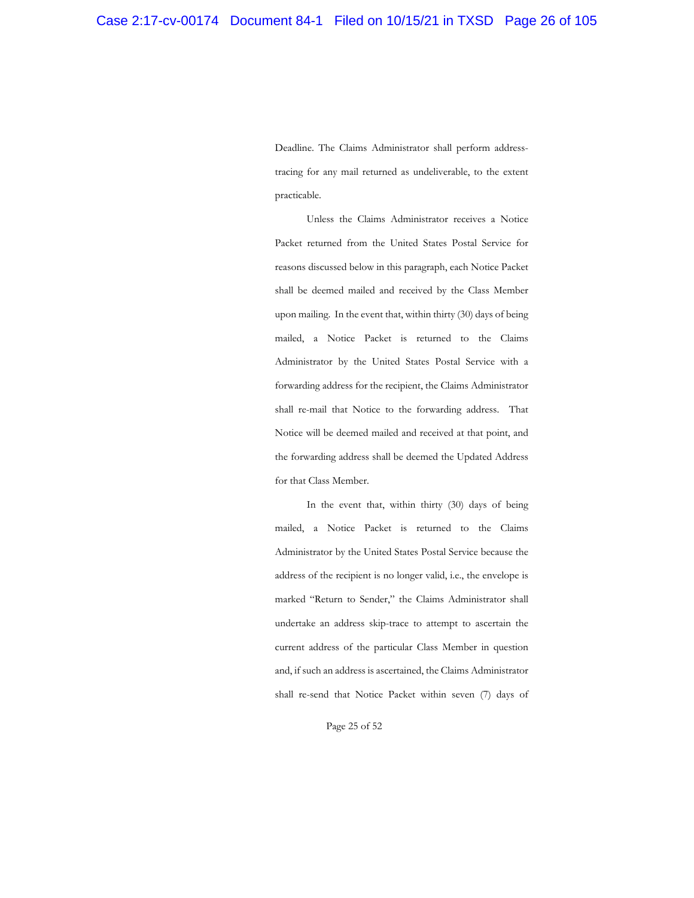Deadline. The Claims Administrator shall perform addresstracing for any mail returned as undeliverable, to the extent practicable.

Unless the Claims Administrator receives a Notice Packet returned from the United States Postal Service for reasons discussed below in this paragraph, each Notice Packet shall be deemed mailed and received by the Class Member upon mailing. In the event that, within thirty (30) days of being mailed, a Notice Packet is returned to the Claims Administrator by the United States Postal Service with a forwarding address for the recipient, the Claims Administrator shall re-mail that Notice to the forwarding address. That Notice will be deemed mailed and received at that point, and the forwarding address shall be deemed the Updated Address for that Class Member.

In the event that, within thirty (30) days of being mailed, a Notice Packet is returned to the Claims Administrator by the United States Postal Service because the address of the recipient is no longer valid, i.e., the envelope is marked "Return to Sender," the Claims Administrator shall undertake an address skip-trace to attempt to ascertain the current address of the particular Class Member in question and, if such an address is ascertained, the Claims Administrator shall re-send that Notice Packet within seven (7) days of

Page 25 of 52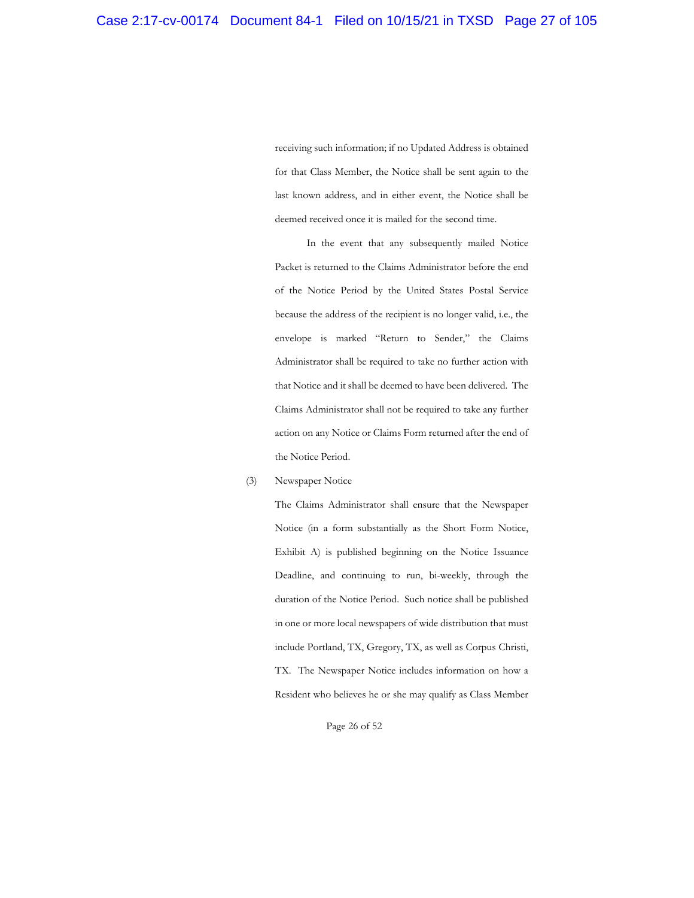receiving such information; if no Updated Address is obtained for that Class Member, the Notice shall be sent again to the last known address, and in either event, the Notice shall be deemed received once it is mailed for the second time.

In the event that any subsequently mailed Notice Packet is returned to the Claims Administrator before the end of the Notice Period by the United States Postal Service because the address of the recipient is no longer valid, i.e., the envelope is marked "Return to Sender," the Claims Administrator shall be required to take no further action with that Notice and it shall be deemed to have been delivered. The Claims Administrator shall not be required to take any further action on any Notice or Claims Form returned after the end of the Notice Period.

#### (3) Newspaper Notice

The Claims Administrator shall ensure that the Newspaper Notice (in a form substantially as the Short Form Notice, Exhibit A) is published beginning on the Notice Issuance Deadline, and continuing to run, bi-weekly, through the duration of the Notice Period. Such notice shall be published in one or more local newspapers of wide distribution that must include Portland, TX, Gregory, TX, as well as Corpus Christi, TX. The Newspaper Notice includes information on how a Resident who believes he or she may qualify as Class Member

Page 26 of 52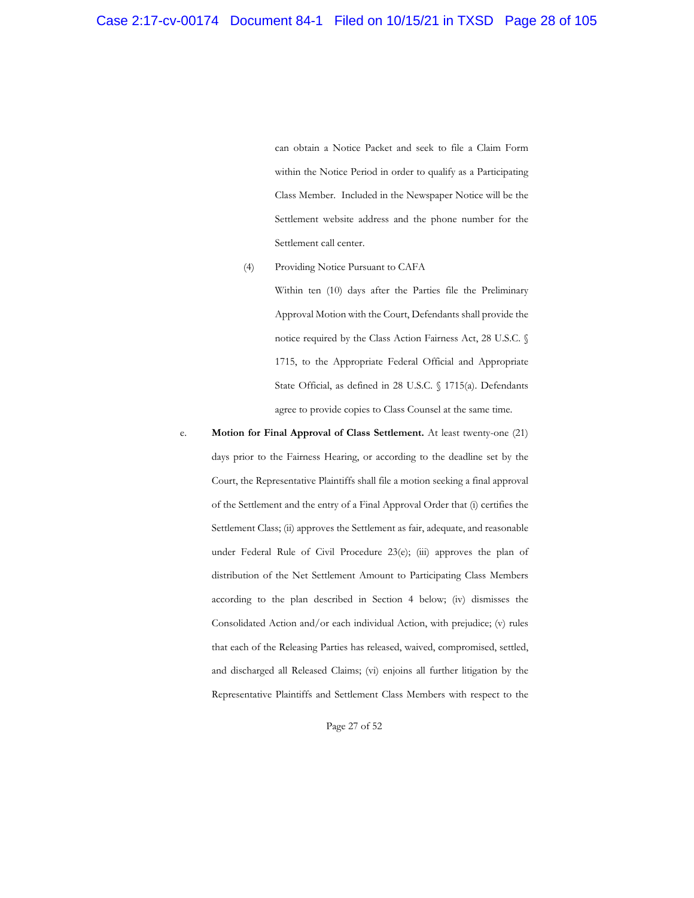can obtain a Notice Packet and seek to file a Claim Form within the Notice Period in order to qualify as a Participating Class Member. Included in the Newspaper Notice will be the Settlement website address and the phone number for the Settlement call center.

## (4) Providing Notice Pursuant to CAFA

Within ten (10) days after the Parties file the Preliminary Approval Motion with the Court, Defendants shall provide the notice required by the Class Action Fairness Act, 28 U.S.C. § 1715, to the Appropriate Federal Official and Appropriate State Official, as defined in 28 U.S.C. § 1715(a). Defendants agree to provide copies to Class Counsel at the same time.

e. **Motion for Final Approval of Class Settlement.** At least twenty-one (21) days prior to the Fairness Hearing, or according to the deadline set by the Court, the Representative Plaintiffs shall file a motion seeking a final approval of the Settlement and the entry of a Final Approval Order that (i) certifies the Settlement Class; (ii) approves the Settlement as fair, adequate, and reasonable under Federal Rule of Civil Procedure 23(e); (iii) approves the plan of distribution of the Net Settlement Amount to Participating Class Members according to the plan described in Section 4 below; (iv) dismisses the Consolidated Action and/or each individual Action, with prejudice; (v) rules that each of the Releasing Parties has released, waived, compromised, settled, and discharged all Released Claims; (vi) enjoins all further litigation by the Representative Plaintiffs and Settlement Class Members with respect to the

Page 27 of 52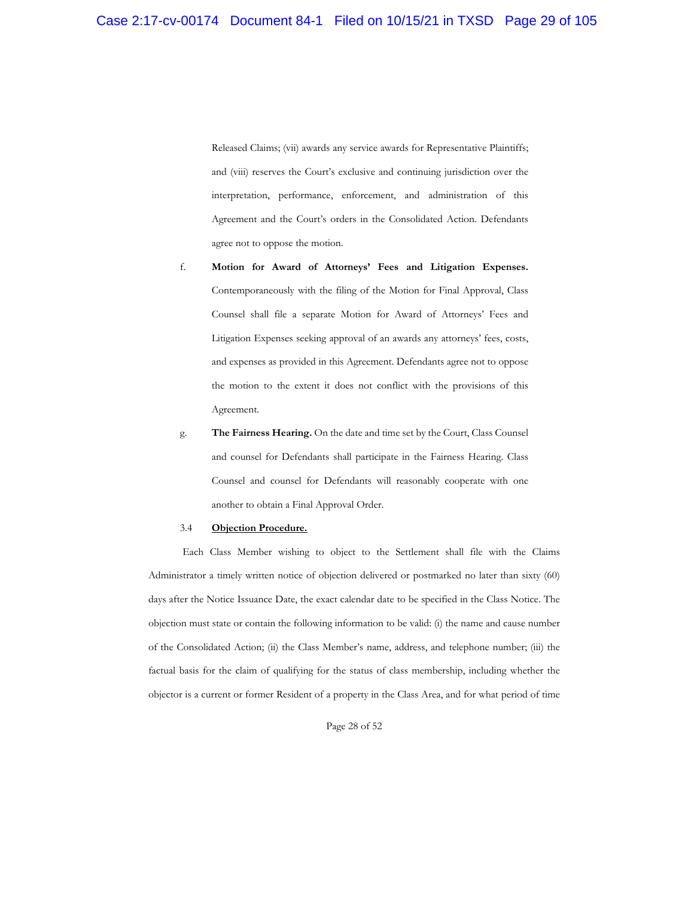Released Claims; (vii) awards any service awards for Representative Plaintiffs; and (viii) reserves the Court's exclusive and continuing jurisdiction over the interpretation, performance, enforcement, and administration of this Agreement and the Court's orders in the Consolidated Action. Defendants agree not to oppose the motion.

- f. **Motion for Award of Attorneys' Fees and Litigation Expenses.**  Contemporaneously with the filing of the Motion for Final Approval, Class Counsel shall file a separate Motion for Award of Attorneys' Fees and Litigation Expenses seeking approval of an awards any attorneys' fees, costs, and expenses as provided in this Agreement. Defendants agree not to oppose the motion to the extent it does not conflict with the provisions of this Agreement.
- g. **The Fairness Hearing.** On the date and time set by the Court, Class Counsel and counsel for Defendants shall participate in the Fairness Hearing. Class Counsel and counsel for Defendants will reasonably cooperate with one another to obtain a Final Approval Order.

#### 3.4 **Objection Procedure.**

Each Class Member wishing to object to the Settlement shall file with the Claims Administrator a timely written notice of objection delivered or postmarked no later than sixty (60) days after the Notice Issuance Date, the exact calendar date to be specified in the Class Notice. The objection must state or contain the following information to be valid: (i) the name and cause number of the Consolidated Action; (ii) the Class Member's name, address, and telephone number; (iii) the factual basis for the claim of qualifying for the status of class membership, including whether the objector is a current or former Resident of a property in the Class Area, and for what period of time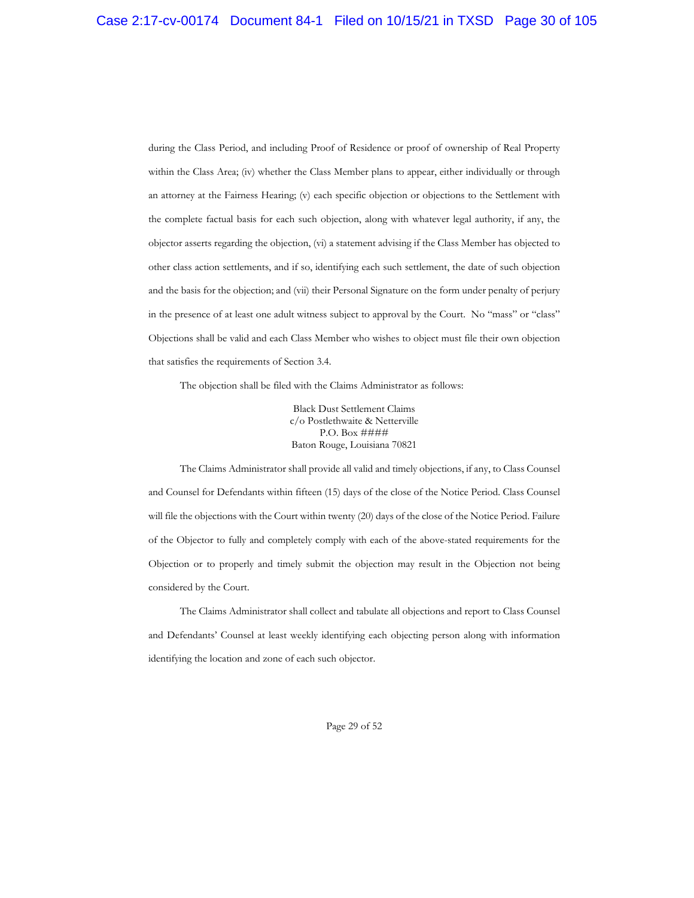during the Class Period, and including Proof of Residence or proof of ownership of Real Property within the Class Area; (iv) whether the Class Member plans to appear, either individually or through an attorney at the Fairness Hearing; (v) each specific objection or objections to the Settlement with the complete factual basis for each such objection, along with whatever legal authority, if any, the objector asserts regarding the objection, (vi) a statement advising if the Class Member has objected to other class action settlements, and if so, identifying each such settlement, the date of such objection and the basis for the objection; and (vii) their Personal Signature on the form under penalty of perjury in the presence of at least one adult witness subject to approval by the Court. No "mass" or "class" Objections shall be valid and each Class Member who wishes to object must file their own objection that satisfies the requirements of Section 3.4.

The objection shall be filed with the Claims Administrator as follows:

Black Dust Settlement Claims c/o Postlethwaite & Netterville P.O. Box #### Baton Rouge, Louisiana 70821

The Claims Administrator shall provide all valid and timely objections, if any, to Class Counsel and Counsel for Defendants within fifteen (15) days of the close of the Notice Period. Class Counsel will file the objections with the Court within twenty (20) days of the close of the Notice Period. Failure of the Objector to fully and completely comply with each of the above-stated requirements for the Objection or to properly and timely submit the objection may result in the Objection not being considered by the Court.

The Claims Administrator shall collect and tabulate all objections and report to Class Counsel and Defendants' Counsel at least weekly identifying each objecting person along with information identifying the location and zone of each such objector.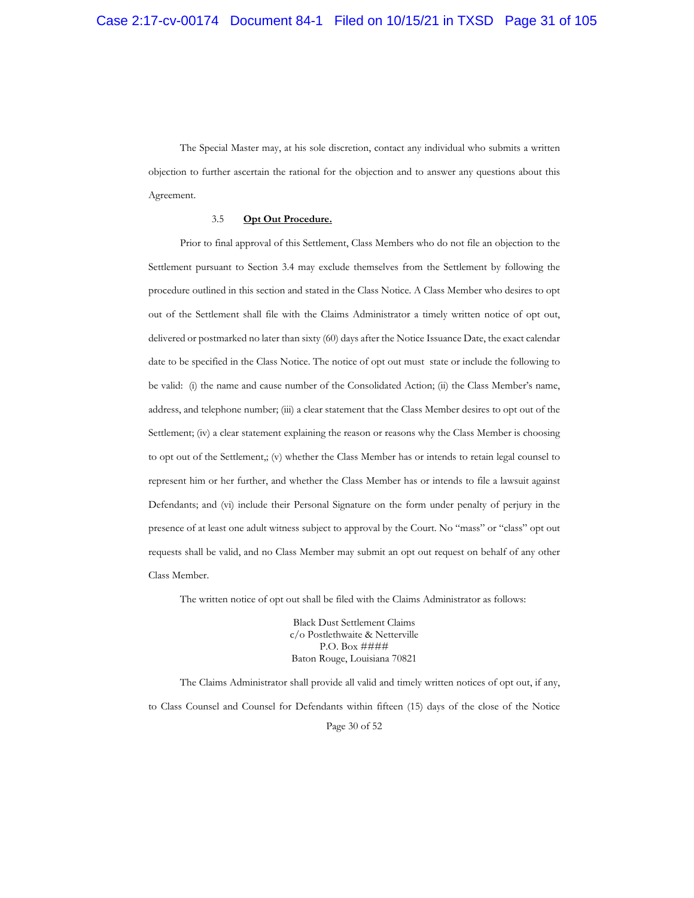The Special Master may, at his sole discretion, contact any individual who submits a written objection to further ascertain the rational for the objection and to answer any questions about this Agreement.

## 3.5 **Opt Out Procedure.**

Prior to final approval of this Settlement, Class Members who do not file an objection to the Settlement pursuant to Section 3.4 may exclude themselves from the Settlement by following the procedure outlined in this section and stated in the Class Notice. A Class Member who desires to opt out of the Settlement shall file with the Claims Administrator a timely written notice of opt out, delivered or postmarked no later than sixty (60) days after the Notice Issuance Date, the exact calendar date to be specified in the Class Notice. The notice of opt out must state or include the following to be valid: (i) the name and cause number of the Consolidated Action; (ii) the Class Member's name, address, and telephone number; (iii) a clear statement that the Class Member desires to opt out of the Settlement; (iv) a clear statement explaining the reason or reasons why the Class Member is choosing to opt out of the Settlement,; (v) whether the Class Member has or intends to retain legal counsel to represent him or her further, and whether the Class Member has or intends to file a lawsuit against Defendants; and (vi) include their Personal Signature on the form under penalty of perjury in the presence of at least one adult witness subject to approval by the Court. No "mass" or "class" opt out requests shall be valid, and no Class Member may submit an opt out request on behalf of any other Class Member.

The written notice of opt out shall be filed with the Claims Administrator as follows:

Black Dust Settlement Claims c/o Postlethwaite & Netterville P.O. Box #### Baton Rouge, Louisiana 70821

Page 30 of 52 The Claims Administrator shall provide all valid and timely written notices of opt out, if any, to Class Counsel and Counsel for Defendants within fifteen (15) days of the close of the Notice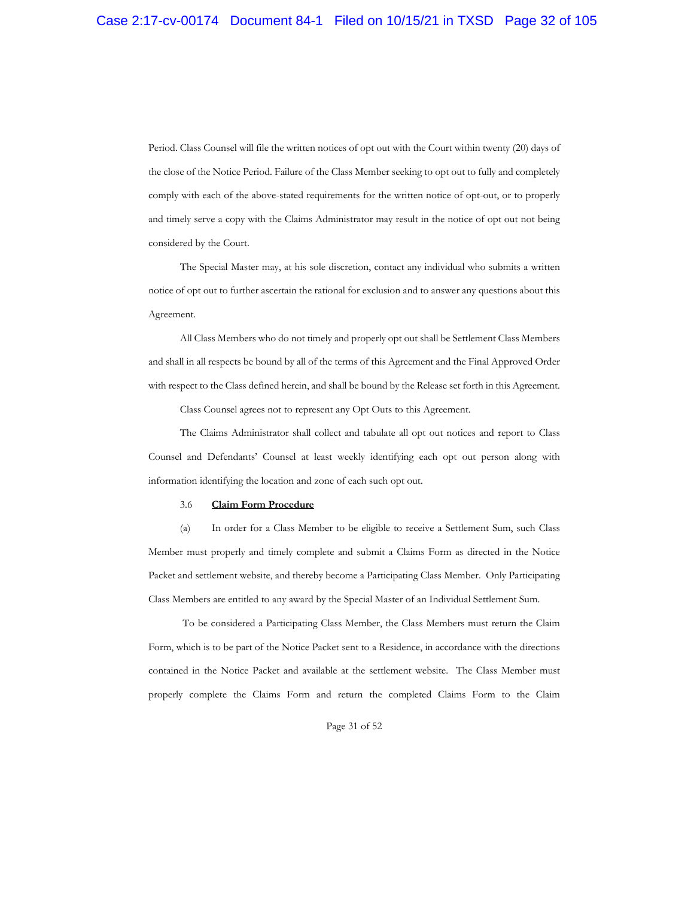Period. Class Counsel will file the written notices of opt out with the Court within twenty (20) days of the close of the Notice Period. Failure of the Class Member seeking to opt out to fully and completely comply with each of the above-stated requirements for the written notice of opt-out, or to properly and timely serve a copy with the Claims Administrator may result in the notice of opt out not being considered by the Court.

The Special Master may, at his sole discretion, contact any individual who submits a written notice of opt out to further ascertain the rational for exclusion and to answer any questions about this Agreement.

All Class Members who do not timely and properly opt out shall be Settlement Class Members and shall in all respects be bound by all of the terms of this Agreement and the Final Approved Order with respect to the Class defined herein, and shall be bound by the Release set forth in this Agreement.

Class Counsel agrees not to represent any Opt Outs to this Agreement.

The Claims Administrator shall collect and tabulate all opt out notices and report to Class Counsel and Defendants' Counsel at least weekly identifying each opt out person along with information identifying the location and zone of each such opt out.

#### 3.6 **Claim Form Procedure**

(a) In order for a Class Member to be eligible to receive a Settlement Sum, such Class Member must properly and timely complete and submit a Claims Form as directed in the Notice Packet and settlement website, and thereby become a Participating Class Member. Only Participating Class Members are entitled to any award by the Special Master of an Individual Settlement Sum.

To be considered a Participating Class Member, the Class Members must return the Claim Form, which is to be part of the Notice Packet sent to a Residence, in accordance with the directions contained in the Notice Packet and available at the settlement website. The Class Member must properly complete the Claims Form and return the completed Claims Form to the Claim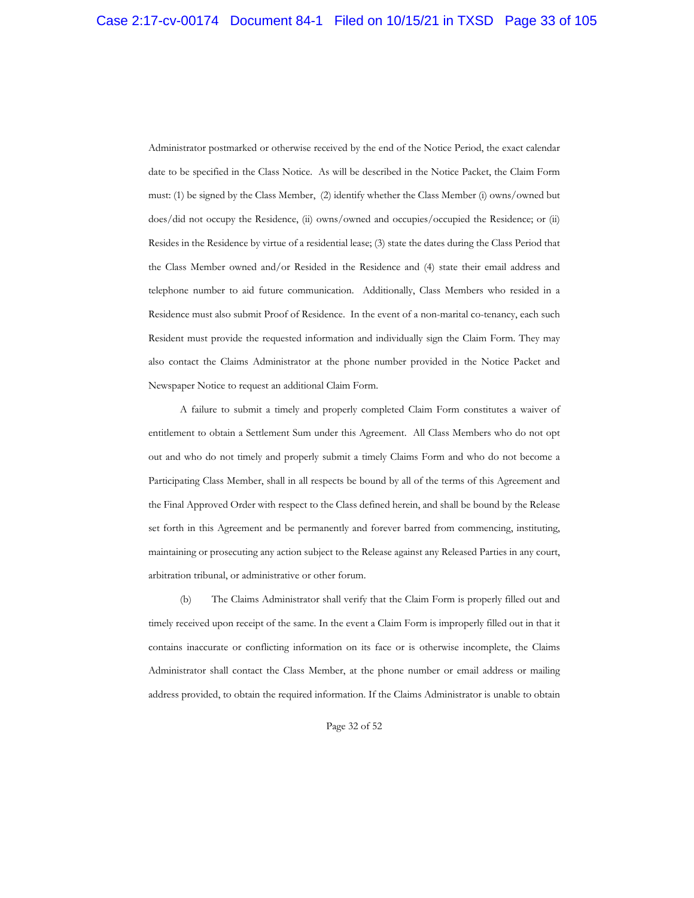Administrator postmarked or otherwise received by the end of the Notice Period, the exact calendar date to be specified in the Class Notice. As will be described in the Notice Packet, the Claim Form must: (1) be signed by the Class Member, (2) identify whether the Class Member (i) owns/owned but does/did not occupy the Residence, (ii) owns/owned and occupies/occupied the Residence; or (ii) Resides in the Residence by virtue of a residential lease; (3) state the dates during the Class Period that the Class Member owned and/or Resided in the Residence and (4) state their email address and telephone number to aid future communication. Additionally, Class Members who resided in a Residence must also submit Proof of Residence. In the event of a non-marital co-tenancy, each such Resident must provide the requested information and individually sign the Claim Form. They may also contact the Claims Administrator at the phone number provided in the Notice Packet and Newspaper Notice to request an additional Claim Form.

A failure to submit a timely and properly completed Claim Form constitutes a waiver of entitlement to obtain a Settlement Sum under this Agreement. All Class Members who do not opt out and who do not timely and properly submit a timely Claims Form and who do not become a Participating Class Member, shall in all respects be bound by all of the terms of this Agreement and the Final Approved Order with respect to the Class defined herein, and shall be bound by the Release set forth in this Agreement and be permanently and forever barred from commencing, instituting, maintaining or prosecuting any action subject to the Release against any Released Parties in any court, arbitration tribunal, or administrative or other forum.

(b) The Claims Administrator shall verify that the Claim Form is properly filled out and timely received upon receipt of the same. In the event a Claim Form is improperly filled out in that it contains inaccurate or conflicting information on its face or is otherwise incomplete, the Claims Administrator shall contact the Class Member, at the phone number or email address or mailing address provided, to obtain the required information. If the Claims Administrator is unable to obtain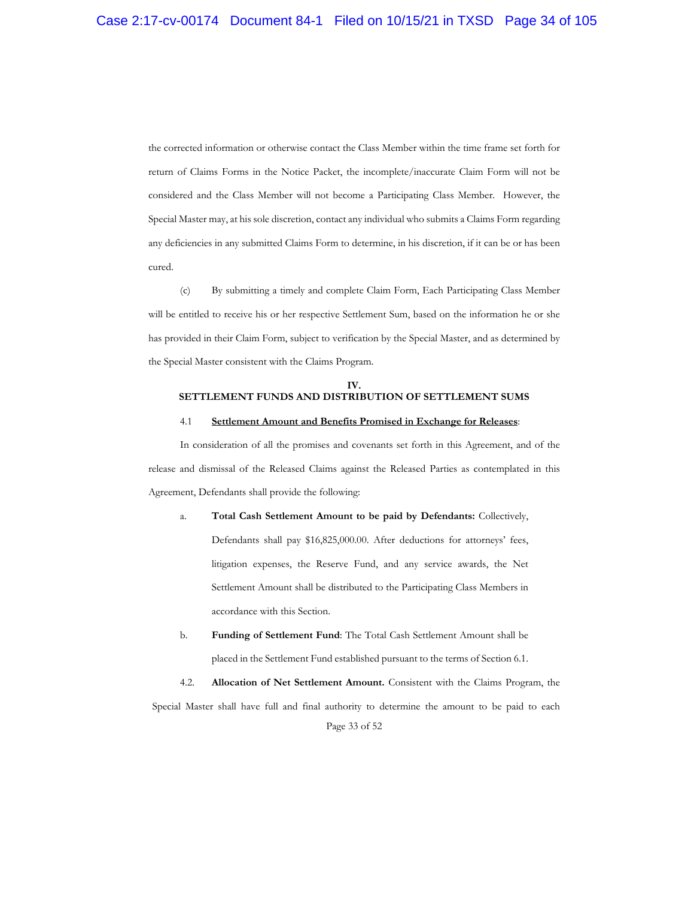the corrected information or otherwise contact the Class Member within the time frame set forth for return of Claims Forms in the Notice Packet, the incomplete/inaccurate Claim Form will not be considered and the Class Member will not become a Participating Class Member. However, the Special Master may, at his sole discretion, contact any individual who submits a Claims Form regarding any deficiencies in any submitted Claims Form to determine, in his discretion, if it can be or has been cured.

(c) By submitting a timely and complete Claim Form, Each Participating Class Member will be entitled to receive his or her respective Settlement Sum, based on the information he or she has provided in their Claim Form, subject to verification by the Special Master, and as determined by the Special Master consistent with the Claims Program.

### **IV. SETTLEMENT FUNDS AND DISTRIBUTION OF SETTLEMENT SUMS**

#### 4.1 **Settlement Amount and Benefits Promised in Exchange for Releases**:

In consideration of all the promises and covenants set forth in this Agreement, and of the release and dismissal of the Released Claims against the Released Parties as contemplated in this Agreement, Defendants shall provide the following:

- a. **Total Cash Settlement Amount to be paid by Defendants:** Collectively, Defendants shall pay \$16,825,000.00. After deductions for attorneys' fees, litigation expenses, the Reserve Fund, and any service awards, the Net Settlement Amount shall be distributed to the Participating Class Members in accordance with this Section.
- b. **Funding of Settlement Fund**: The Total Cash Settlement Amount shall be placed in the Settlement Fund established pursuant to the terms of Section 6.1.

Page 33 of 52 4.2. **Allocation of Net Settlement Amount.** Consistent with the Claims Program, the Special Master shall have full and final authority to determine the amount to be paid to each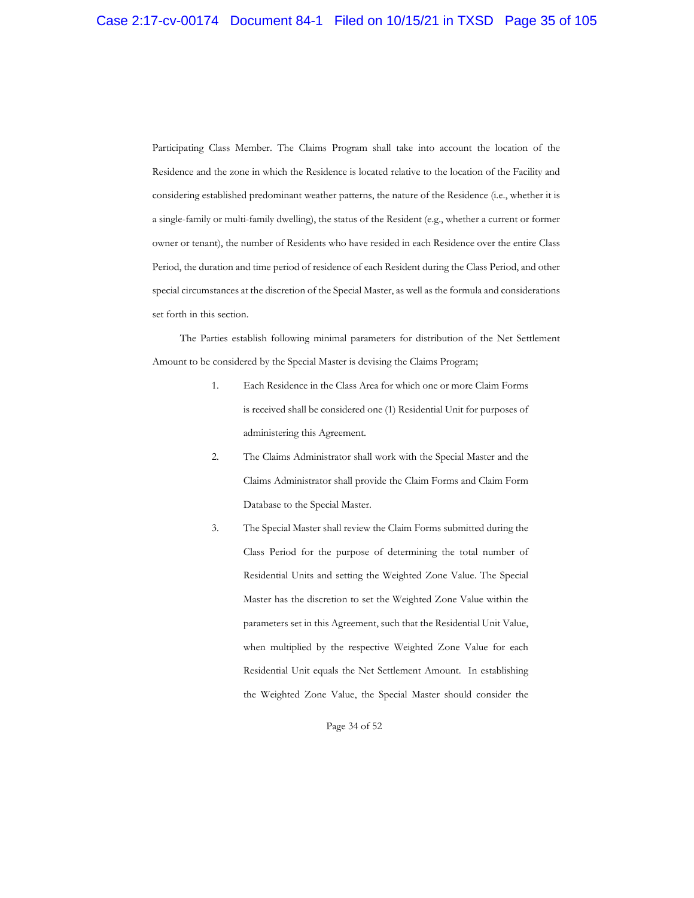Participating Class Member. The Claims Program shall take into account the location of the Residence and the zone in which the Residence is located relative to the location of the Facility and considering established predominant weather patterns, the nature of the Residence (i.e., whether it is a single-family or multi-family dwelling), the status of the Resident (e.g., whether a current or former owner or tenant), the number of Residents who have resided in each Residence over the entire Class Period, the duration and time period of residence of each Resident during the Class Period, and other special circumstances at the discretion of the Special Master, as well as the formula and considerations set forth in this section.

The Parties establish following minimal parameters for distribution of the Net Settlement Amount to be considered by the Special Master is devising the Claims Program;

- 1. Each Residence in the Class Area for which one or more Claim Forms is received shall be considered one (1) Residential Unit for purposes of administering this Agreement.
- 2. The Claims Administrator shall work with the Special Master and the Claims Administrator shall provide the Claim Forms and Claim Form Database to the Special Master.
- 3. The Special Master shall review the Claim Forms submitted during the Class Period for the purpose of determining the total number of Residential Units and setting the Weighted Zone Value. The Special Master has the discretion to set the Weighted Zone Value within the parameters set in this Agreement, such that the Residential Unit Value, when multiplied by the respective Weighted Zone Value for each Residential Unit equals the Net Settlement Amount. In establishing the Weighted Zone Value, the Special Master should consider the

#### Page 34 of 52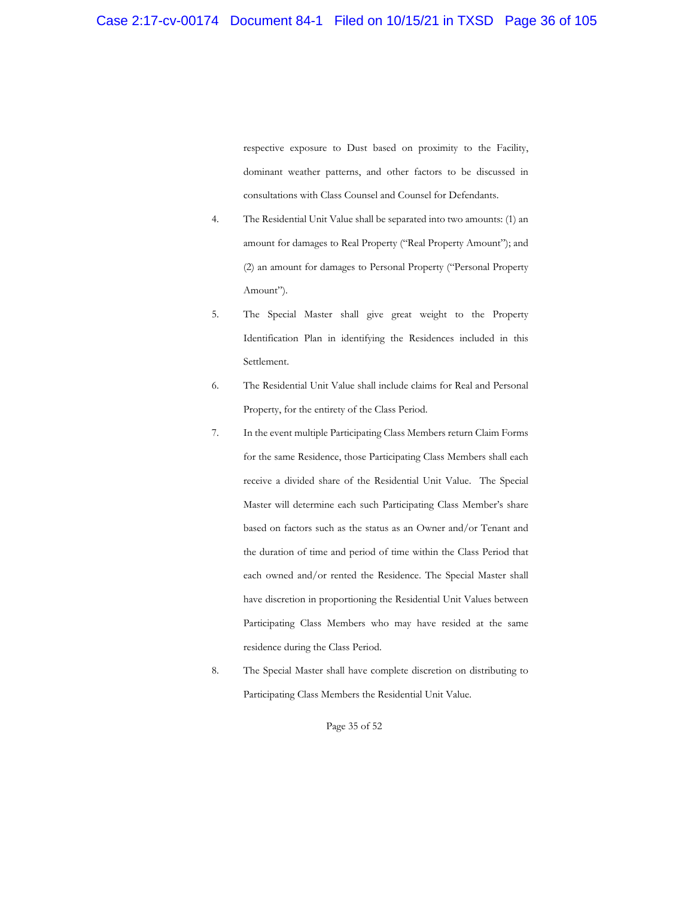respective exposure to Dust based on proximity to the Facility, dominant weather patterns, and other factors to be discussed in consultations with Class Counsel and Counsel for Defendants.

- 4. The Residential Unit Value shall be separated into two amounts: (1) an amount for damages to Real Property ("Real Property Amount"); and (2) an amount for damages to Personal Property ("Personal Property Amount").
- 5. The Special Master shall give great weight to the Property Identification Plan in identifying the Residences included in this Settlement.
- 6. The Residential Unit Value shall include claims for Real and Personal Property, for the entirety of the Class Period.
- 7. In the event multiple Participating Class Members return Claim Forms for the same Residence, those Participating Class Members shall each receive a divided share of the Residential Unit Value. The Special Master will determine each such Participating Class Member's share based on factors such as the status as an Owner and/or Tenant and the duration of time and period of time within the Class Period that each owned and/or rented the Residence. The Special Master shall have discretion in proportioning the Residential Unit Values between Participating Class Members who may have resided at the same residence during the Class Period.
- 8. The Special Master shall have complete discretion on distributing to Participating Class Members the Residential Unit Value.

Page 35 of 52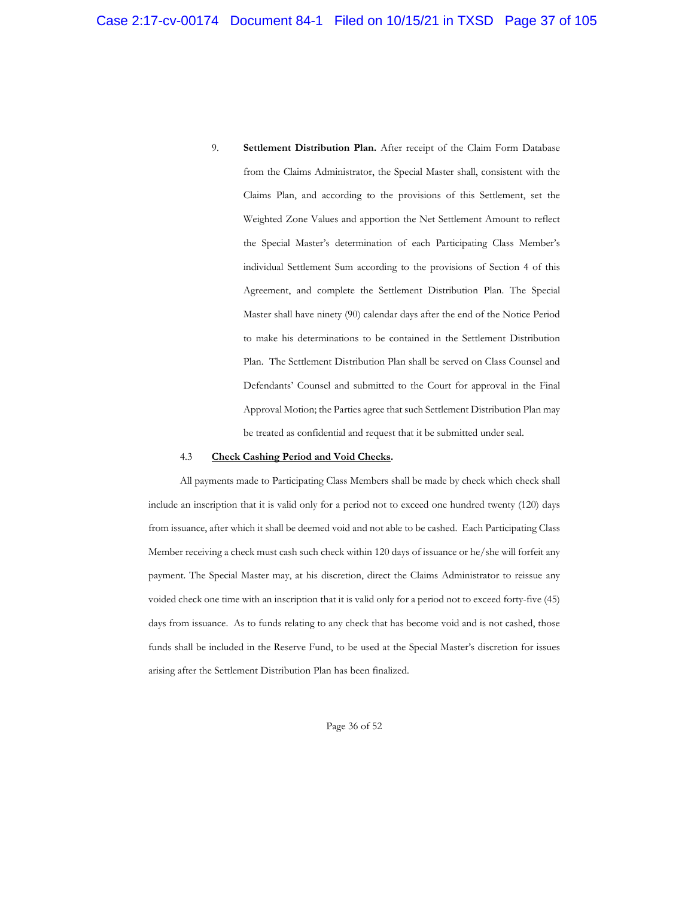9. **Settlement Distribution Plan.** After receipt of the Claim Form Database from the Claims Administrator, the Special Master shall, consistent with the Claims Plan, and according to the provisions of this Settlement, set the Weighted Zone Values and apportion the Net Settlement Amount to reflect the Special Master's determination of each Participating Class Member's individual Settlement Sum according to the provisions of Section 4 of this Agreement, and complete the Settlement Distribution Plan. The Special Master shall have ninety (90) calendar days after the end of the Notice Period to make his determinations to be contained in the Settlement Distribution Plan. The Settlement Distribution Plan shall be served on Class Counsel and Defendants' Counsel and submitted to the Court for approval in the Final Approval Motion; the Parties agree that such Settlement Distribution Plan may be treated as confidential and request that it be submitted under seal.

## 4.3 **Check Cashing Period and Void Checks.**

All payments made to Participating Class Members shall be made by check which check shall include an inscription that it is valid only for a period not to exceed one hundred twenty (120) days from issuance, after which it shall be deemed void and not able to be cashed. Each Participating Class Member receiving a check must cash such check within 120 days of issuance or he/she will forfeit any payment. The Special Master may, at his discretion, direct the Claims Administrator to reissue any voided check one time with an inscription that it is valid only for a period not to exceed forty-five (45) days from issuance. As to funds relating to any check that has become void and is not cashed, those funds shall be included in the Reserve Fund, to be used at the Special Master's discretion for issues arising after the Settlement Distribution Plan has been finalized.

Page 36 of 52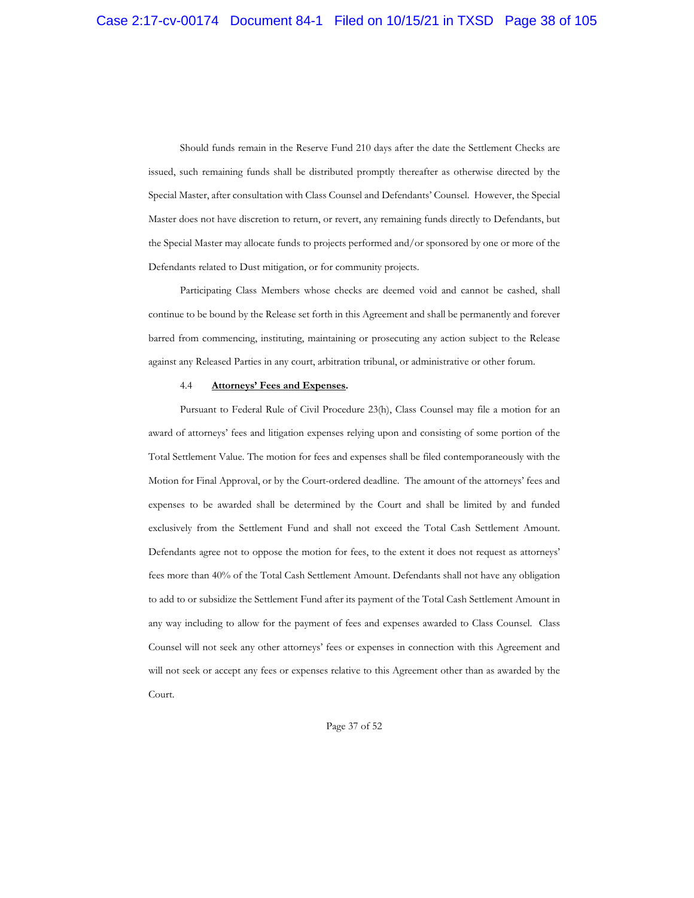Should funds remain in the Reserve Fund 210 days after the date the Settlement Checks are issued, such remaining funds shall be distributed promptly thereafter as otherwise directed by the Special Master, after consultation with Class Counsel and Defendants' Counsel. However, the Special Master does not have discretion to return, or revert, any remaining funds directly to Defendants, but the Special Master may allocate funds to projects performed and/or sponsored by one or more of the Defendants related to Dust mitigation, or for community projects.

Participating Class Members whose checks are deemed void and cannot be cashed, shall continue to be bound by the Release set forth in this Agreement and shall be permanently and forever barred from commencing, instituting, maintaining or prosecuting any action subject to the Release against any Released Parties in any court, arbitration tribunal, or administrative or other forum.

#### 4.4 **Attorneys' Fees and Expenses.**

Pursuant to Federal Rule of Civil Procedure 23(h), Class Counsel may file a motion for an award of attorneys' fees and litigation expenses relying upon and consisting of some portion of the Total Settlement Value. The motion for fees and expenses shall be filed contemporaneously with the Motion for Final Approval, or by the Court-ordered deadline. The amount of the attorneys' fees and expenses to be awarded shall be determined by the Court and shall be limited by and funded exclusively from the Settlement Fund and shall not exceed the Total Cash Settlement Amount. Defendants agree not to oppose the motion for fees, to the extent it does not request as attorneys' fees more than 40% of the Total Cash Settlement Amount. Defendants shall not have any obligation to add to or subsidize the Settlement Fund after its payment of the Total Cash Settlement Amount in any way including to allow for the payment of fees and expenses awarded to Class Counsel. Class Counsel will not seek any other attorneys' fees or expenses in connection with this Agreement and will not seek or accept any fees or expenses relative to this Agreement other than as awarded by the Court.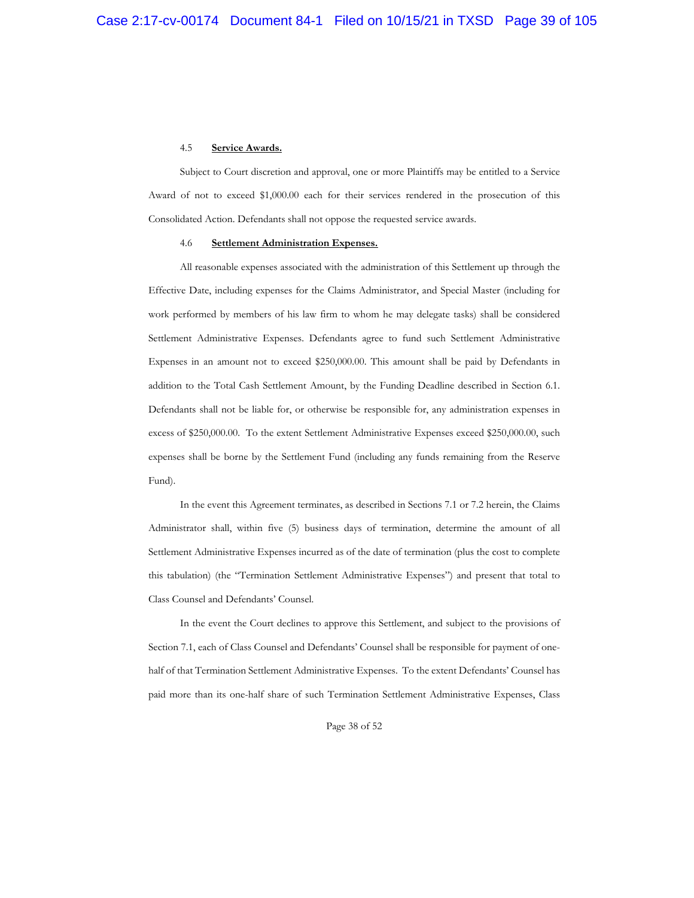#### 4.5 **Service Awards.**

Subject to Court discretion and approval, one or more Plaintiffs may be entitled to a Service Award of not to exceed \$1,000.00 each for their services rendered in the prosecution of this Consolidated Action. Defendants shall not oppose the requested service awards.

#### 4.6 **Settlement Administration Expenses.**

All reasonable expenses associated with the administration of this Settlement up through the Effective Date, including expenses for the Claims Administrator, and Special Master (including for work performed by members of his law firm to whom he may delegate tasks) shall be considered Settlement Administrative Expenses. Defendants agree to fund such Settlement Administrative Expenses in an amount not to exceed \$250,000.00. This amount shall be paid by Defendants in addition to the Total Cash Settlement Amount, by the Funding Deadline described in Section 6.1. Defendants shall not be liable for, or otherwise be responsible for, any administration expenses in excess of \$250,000.00. To the extent Settlement Administrative Expenses exceed \$250,000.00, such expenses shall be borne by the Settlement Fund (including any funds remaining from the Reserve Fund).

In the event this Agreement terminates, as described in Sections 7.1 or 7.2 herein, the Claims Administrator shall, within five (5) business days of termination, determine the amount of all Settlement Administrative Expenses incurred as of the date of termination (plus the cost to complete this tabulation) (the "Termination Settlement Administrative Expenses") and present that total to Class Counsel and Defendants' Counsel.

In the event the Court declines to approve this Settlement, and subject to the provisions of Section 7.1, each of Class Counsel and Defendants' Counsel shall be responsible for payment of onehalf of that Termination Settlement Administrative Expenses. To the extent Defendants' Counsel has paid more than its one-half share of such Termination Settlement Administrative Expenses, Class

Page 38 of 52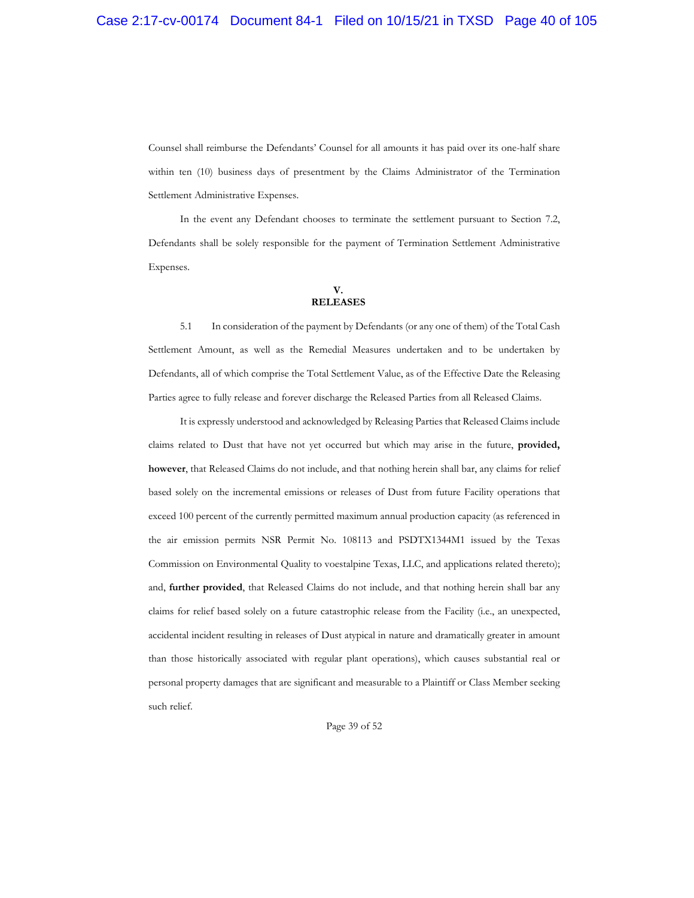Counsel shall reimburse the Defendants' Counsel for all amounts it has paid over its one-half share within ten (10) business days of presentment by the Claims Administrator of the Termination Settlement Administrative Expenses.

In the event any Defendant chooses to terminate the settlement pursuant to Section 7.2, Defendants shall be solely responsible for the payment of Termination Settlement Administrative Expenses.

#### **V. RELEASES**

5.1 In consideration of the payment by Defendants (or any one of them) of the Total Cash Settlement Amount, as well as the Remedial Measures undertaken and to be undertaken by Defendants, all of which comprise the Total Settlement Value, as of the Effective Date the Releasing Parties agree to fully release and forever discharge the Released Parties from all Released Claims.

It is expressly understood and acknowledged by Releasing Parties that Released Claims include claims related to Dust that have not yet occurred but which may arise in the future, **provided, however**, that Released Claims do not include, and that nothing herein shall bar, any claims for relief based solely on the incremental emissions or releases of Dust from future Facility operations that exceed 100 percent of the currently permitted maximum annual production capacity (as referenced in the air emission permits NSR Permit No. 108113 and PSDTX1344M1 issued by the Texas Commission on Environmental Quality to voestalpine Texas, LLC, and applications related thereto); and, **further provided**, that Released Claims do not include, and that nothing herein shall bar any claims for relief based solely on a future catastrophic release from the Facility (i.e., an unexpected, accidental incident resulting in releases of Dust atypical in nature and dramatically greater in amount than those historically associated with regular plant operations), which causes substantial real or personal property damages that are significant and measurable to a Plaintiff or Class Member seeking such relief.

Page 39 of 52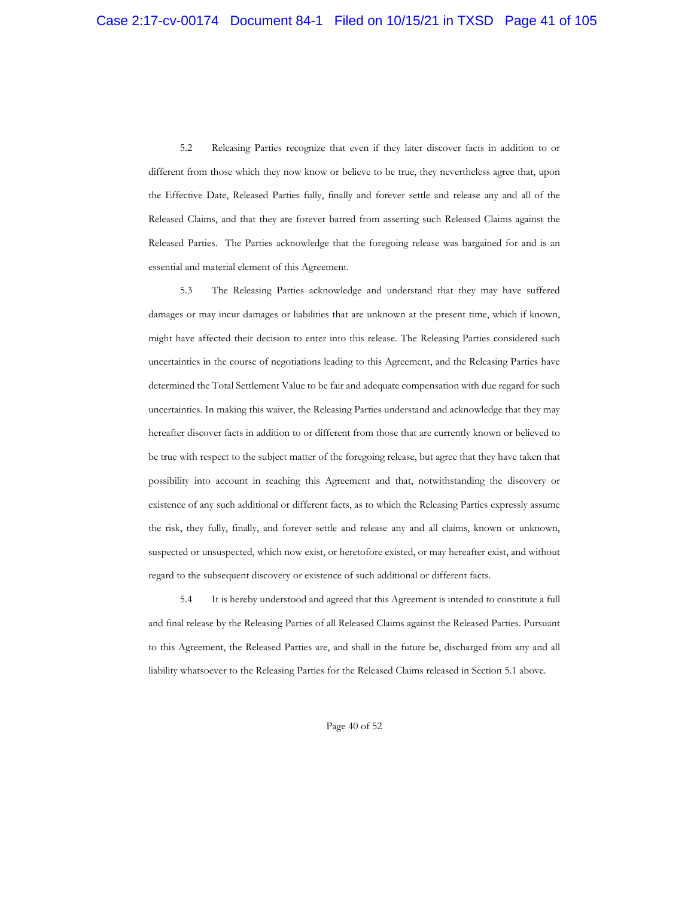5.2 Releasing Parties recognize that even if they later discover facts in addition to or different from those which they now know or believe to be true, they nevertheless agree that, upon the Effective Date, Released Parties fully, finally and forever settle and release any and all of the Released Claims, and that they are forever barred from asserting such Released Claims against the Released Parties. The Parties acknowledge that the foregoing release was bargained for and is an essential and material element of this Agreement.

5.3 The Releasing Parties acknowledge and understand that they may have suffered damages or may incur damages or liabilities that are unknown at the present time, which if known, might have affected their decision to enter into this release. The Releasing Parties considered such uncertainties in the course of negotiations leading to this Agreement, and the Releasing Parties have determined the Total Settlement Value to be fair and adequate compensation with due regard for such uncertainties. In making this waiver, the Releasing Parties understand and acknowledge that they may hereafter discover facts in addition to or different from those that are currently known or believed to be true with respect to the subject matter of the foregoing release, but agree that they have taken that possibility into account in reaching this Agreement and that, notwithstanding the discovery or existence of any such additional or different facts, as to which the Releasing Parties expressly assume the risk, they fully, finally, and forever settle and release any and all claims, known or unknown, suspected or unsuspected, which now exist, or heretofore existed, or may hereafter exist, and without regard to the subsequent discovery or existence of such additional or different facts.

5.4 It is hereby understood and agreed that this Agreement is intended to constitute a full and final release by the Releasing Parties of all Released Claims against the Released Parties. Pursuant to this Agreement, the Released Parties are, and shall in the future be, discharged from any and all liability whatsoever to the Releasing Parties for the Released Claims released in Section 5.1 above.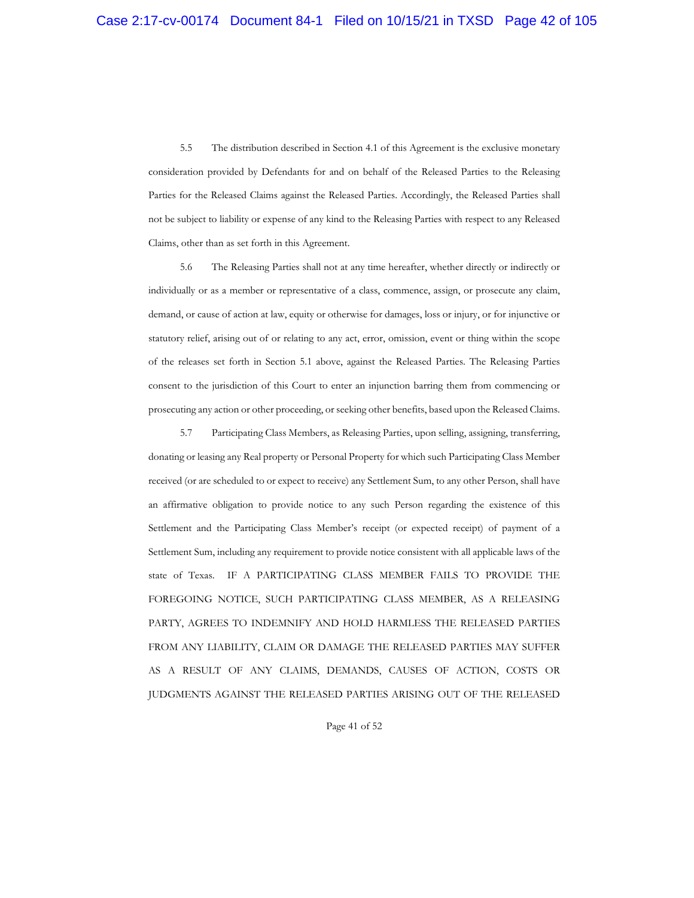5.5 The distribution described in Section 4.1 of this Agreement is the exclusive monetary consideration provided by Defendants for and on behalf of the Released Parties to the Releasing Parties for the Released Claims against the Released Parties. Accordingly, the Released Parties shall not be subject to liability or expense of any kind to the Releasing Parties with respect to any Released Claims, other than as set forth in this Agreement.

5.6 The Releasing Parties shall not at any time hereafter, whether directly or indirectly or individually or as a member or representative of a class, commence, assign, or prosecute any claim, demand, or cause of action at law, equity or otherwise for damages, loss or injury, or for injunctive or statutory relief, arising out of or relating to any act, error, omission, event or thing within the scope of the releases set forth in Section 5.1 above, against the Released Parties. The Releasing Parties consent to the jurisdiction of this Court to enter an injunction barring them from commencing or prosecuting any action or other proceeding, or seeking other benefits, based upon the Released Claims.

5.7 Participating Class Members, as Releasing Parties, upon selling, assigning, transferring, donating or leasing any Real property or Personal Property for which such Participating Class Member received (or are scheduled to or expect to receive) any Settlement Sum, to any other Person, shall have an affirmative obligation to provide notice to any such Person regarding the existence of this Settlement and the Participating Class Member's receipt (or expected receipt) of payment of a Settlement Sum, including any requirement to provide notice consistent with all applicable laws of the state of Texas. IF A PARTICIPATING CLASS MEMBER FAILS TO PROVIDE THE FOREGOING NOTICE, SUCH PARTICIPATING CLASS MEMBER, AS A RELEASING PARTY, AGREES TO INDEMNIFY AND HOLD HARMLESS THE RELEASED PARTIES FROM ANY LIABILITY, CLAIM OR DAMAGE THE RELEASED PARTIES MAY SUFFER AS A RESULT OF ANY CLAIMS, DEMANDS, CAUSES OF ACTION, COSTS OR JUDGMENTS AGAINST THE RELEASED PARTIES ARISING OUT OF THE RELEASED

Page 41 of 52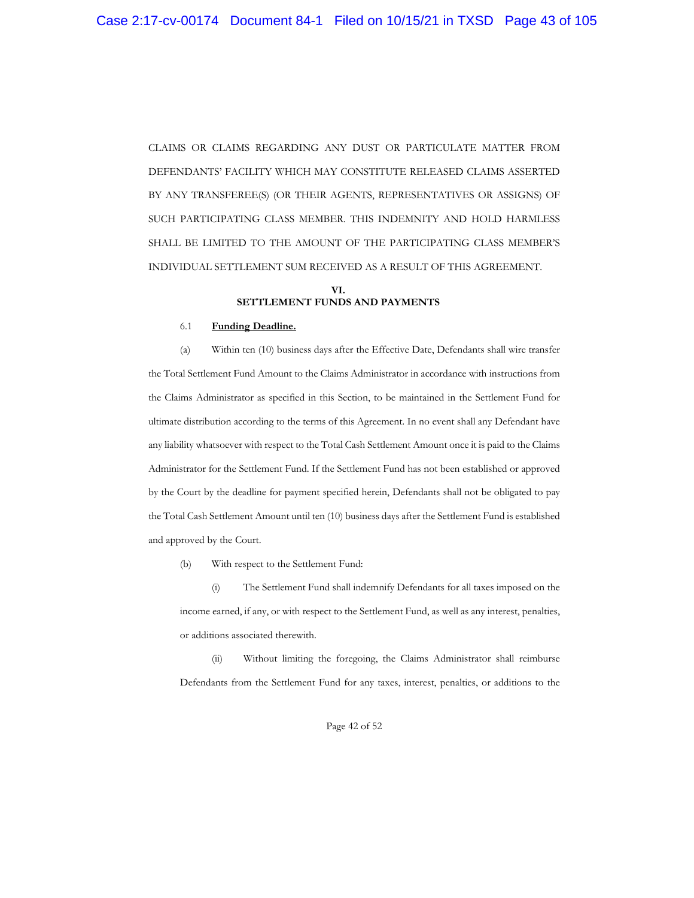CLAIMS OR CLAIMS REGARDING ANY DUST OR PARTICULATE MATTER FROM DEFENDANTS' FACILITY WHICH MAY CONSTITUTE RELEASED CLAIMS ASSERTED BY ANY TRANSFEREE(S) (OR THEIR AGENTS, REPRESENTATIVES OR ASSIGNS) OF SUCH PARTICIPATING CLASS MEMBER. THIS INDEMNITY AND HOLD HARMLESS SHALL BE LIMITED TO THE AMOUNT OF THE PARTICIPATING CLASS MEMBER'S INDIVIDUAL SETTLEMENT SUM RECEIVED AS A RESULT OF THIS AGREEMENT.

#### **VI. SETTLEMENT FUNDS AND PAYMENTS**

#### 6.1 **Funding Deadline.**

(a) Within ten (10) business days after the Effective Date, Defendants shall wire transfer the Total Settlement Fund Amount to the Claims Administrator in accordance with instructions from the Claims Administrator as specified in this Section, to be maintained in the Settlement Fund for ultimate distribution according to the terms of this Agreement. In no event shall any Defendant have any liability whatsoever with respect to the Total Cash Settlement Amount once it is paid to the Claims Administrator for the Settlement Fund. If the Settlement Fund has not been established or approved by the Court by the deadline for payment specified herein, Defendants shall not be obligated to pay the Total Cash Settlement Amount until ten (10) business days after the Settlement Fund is established and approved by the Court.

(b) With respect to the Settlement Fund:

(i) The Settlement Fund shall indemnify Defendants for all taxes imposed on the income earned, if any, or with respect to the Settlement Fund, as well as any interest, penalties, or additions associated therewith.

(ii) Without limiting the foregoing, the Claims Administrator shall reimburse Defendants from the Settlement Fund for any taxes, interest, penalties, or additions to the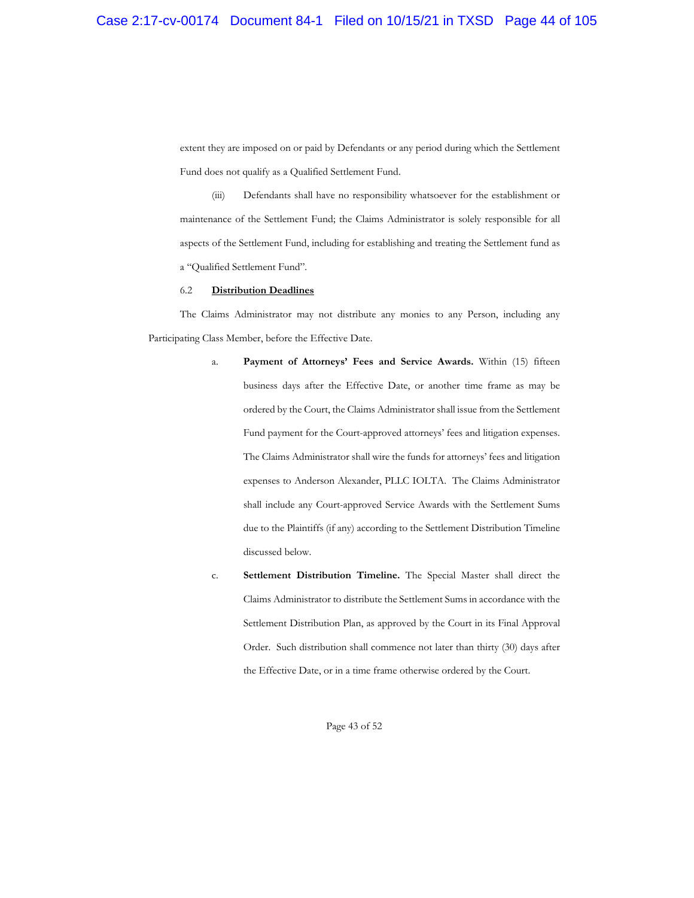extent they are imposed on or paid by Defendants or any period during which the Settlement Fund does not qualify as a Qualified Settlement Fund.

(iii) Defendants shall have no responsibility whatsoever for the establishment or maintenance of the Settlement Fund; the Claims Administrator is solely responsible for all aspects of the Settlement Fund, including for establishing and treating the Settlement fund as a "Qualified Settlement Fund".

#### 6.2 **Distribution Deadlines**

The Claims Administrator may not distribute any monies to any Person, including any Participating Class Member, before the Effective Date.

- a. **Payment of Attorneys' Fees and Service Awards.** Within (15) fifteen business days after the Effective Date, or another time frame as may be ordered by the Court, the Claims Administrator shall issue from the Settlement Fund payment for the Court-approved attorneys' fees and litigation expenses. The Claims Administrator shall wire the funds for attorneys' fees and litigation expenses to Anderson Alexander, PLLC IOLTA. The Claims Administrator shall include any Court-approved Service Awards with the Settlement Sums due to the Plaintiffs (if any) according to the Settlement Distribution Timeline discussed below.
- c. **Settlement Distribution Timeline.** The Special Master shall direct the Claims Administrator to distribute the Settlement Sums in accordance with the Settlement Distribution Plan, as approved by the Court in its Final Approval Order. Such distribution shall commence not later than thirty (30) days after the Effective Date, or in a time frame otherwise ordered by the Court.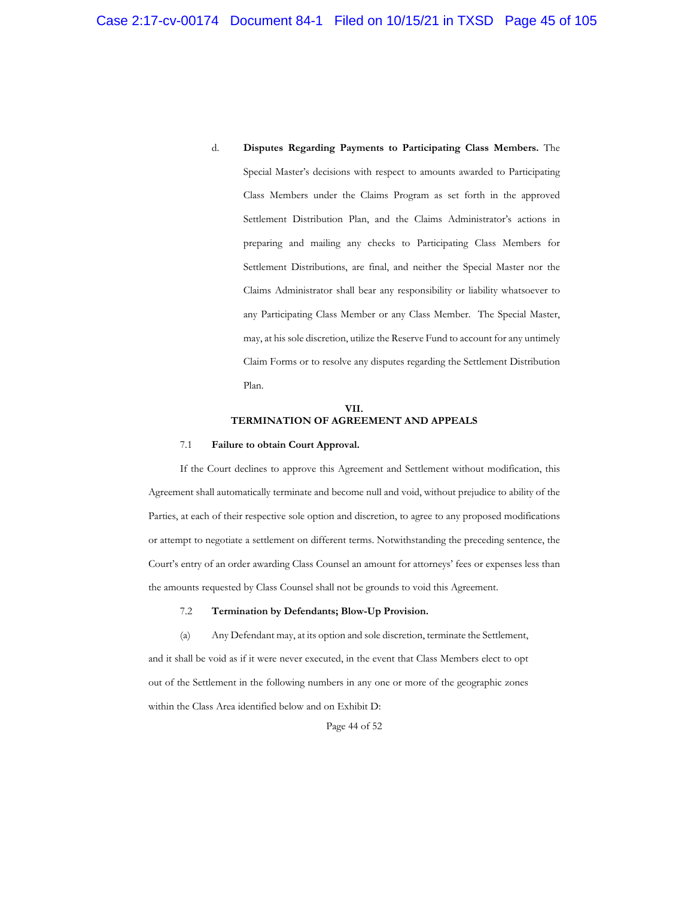d. **Disputes Regarding Payments to Participating Class Members.** The Special Master's decisions with respect to amounts awarded to Participating Class Members under the Claims Program as set forth in the approved Settlement Distribution Plan, and the Claims Administrator's actions in preparing and mailing any checks to Participating Class Members for Settlement Distributions, are final, and neither the Special Master nor the Claims Administrator shall bear any responsibility or liability whatsoever to any Participating Class Member or any Class Member. The Special Master, may, at his sole discretion, utilize the Reserve Fund to account for any untimely Claim Forms or to resolve any disputes regarding the Settlement Distribution Plan.

#### **VII. TERMINATION OF AGREEMENT AND APPEALS**

#### 7.1 **Failure to obtain Court Approval.**

If the Court declines to approve this Agreement and Settlement without modification, this Agreement shall automatically terminate and become null and void, without prejudice to ability of the Parties, at each of their respective sole option and discretion, to agree to any proposed modifications or attempt to negotiate a settlement on different terms. Notwithstanding the preceding sentence, the Court's entry of an order awarding Class Counsel an amount for attorneys' fees or expenses less than the amounts requested by Class Counsel shall not be grounds to void this Agreement.

## 7.2 **Termination by Defendants; Blow-Up Provision.**

(a) Any Defendant may, at its option and sole discretion, terminate the Settlement, and it shall be void as if it were never executed, in the event that Class Members elect to opt out of the Settlement in the following numbers in any one or more of the geographic zones within the Class Area identified below and on Exhibit D:

Page 44 of 52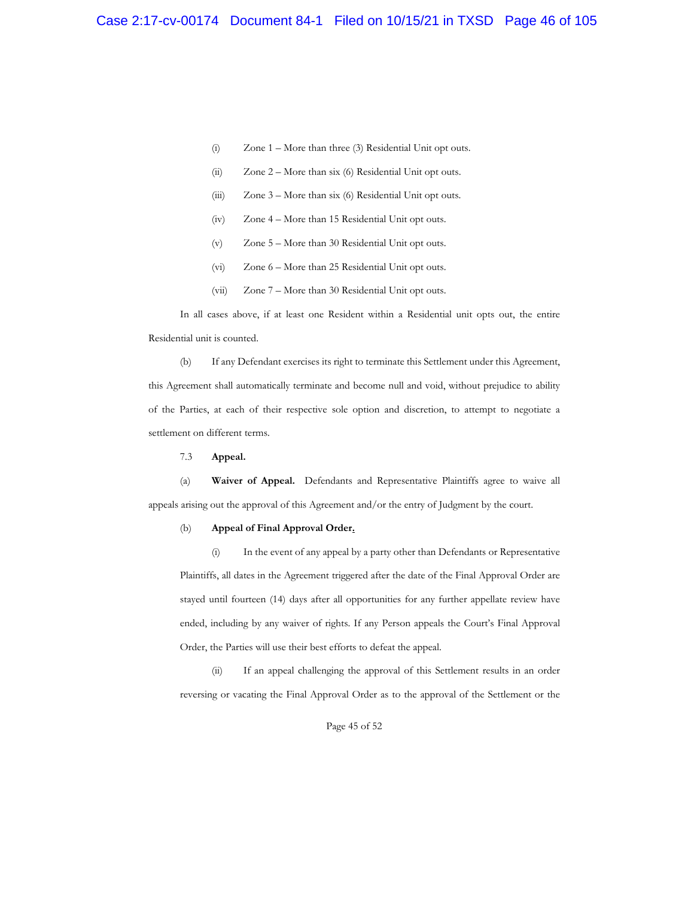- (i) Zone 1 More than three (3) Residential Unit opt outs.
- (ii) Zone 2 More than six (6) Residential Unit opt outs.
- (iii) Zone 3 More than six (6) Residential Unit opt outs.
- (iv) Zone 4 More than 15 Residential Unit opt outs.
- (v) Zone 5 More than 30 Residential Unit opt outs.
- (vi) Zone 6 More than 25 Residential Unit opt outs.
- (vii) Zone 7 More than 30 Residential Unit opt outs.

In all cases above, if at least one Resident within a Residential unit opts out, the entire Residential unit is counted.

(b) If any Defendant exercises its right to terminate this Settlement under this Agreement, this Agreement shall automatically terminate and become null and void, without prejudice to ability of the Parties, at each of their respective sole option and discretion, to attempt to negotiate a settlement on different terms.

7.3 **Appeal.** 

(a) **Waiver of Appeal.** Defendants and Representative Plaintiffs agree to waive all appeals arising out the approval of this Agreement and/or the entry of Judgment by the court.

#### (b) **Appeal of Final Approval Order.**

(i) In the event of any appeal by a party other than Defendants or Representative Plaintiffs, all dates in the Agreement triggered after the date of the Final Approval Order are stayed until fourteen (14) days after all opportunities for any further appellate review have ended, including by any waiver of rights. If any Person appeals the Court's Final Approval Order, the Parties will use their best efforts to defeat the appeal.

(ii) If an appeal challenging the approval of this Settlement results in an order reversing or vacating the Final Approval Order as to the approval of the Settlement or the

Page 45 of 52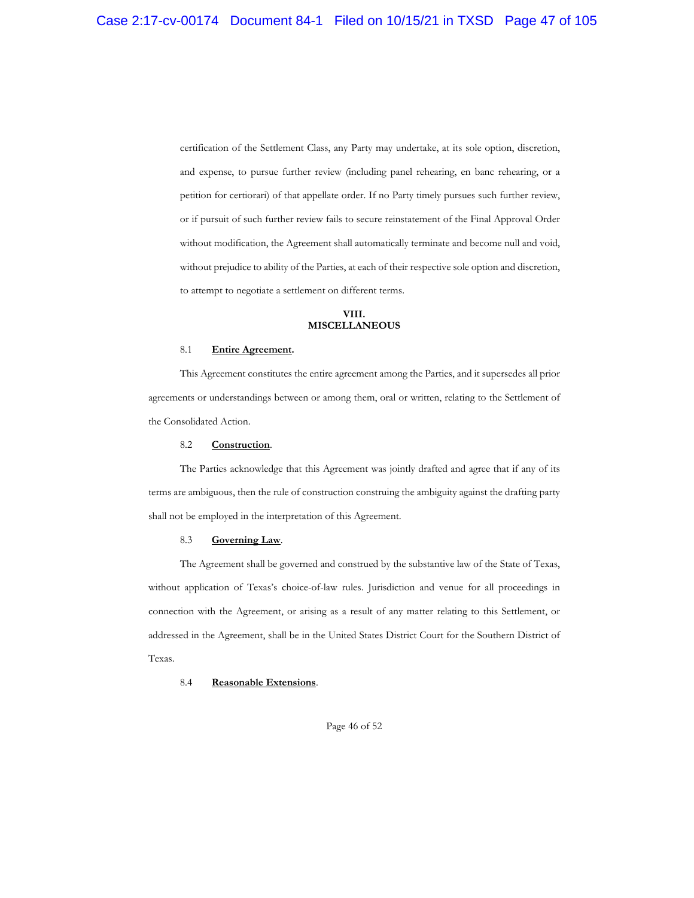certification of the Settlement Class, any Party may undertake, at its sole option, discretion, and expense, to pursue further review (including panel rehearing, en banc rehearing, or a petition for certiorari) of that appellate order. If no Party timely pursues such further review, or if pursuit of such further review fails to secure reinstatement of the Final Approval Order without modification, the Agreement shall automatically terminate and become null and void, without prejudice to ability of the Parties, at each of their respective sole option and discretion, to attempt to negotiate a settlement on different terms.

#### **VIII. MISCELLANEOUS**

#### 8.1 **Entire Agreement.**

This Agreement constitutes the entire agreement among the Parties, and it supersedes all prior agreements or understandings between or among them, oral or written, relating to the Settlement of the Consolidated Action.

#### 8.2 **Construction**.

The Parties acknowledge that this Agreement was jointly drafted and agree that if any of its terms are ambiguous, then the rule of construction construing the ambiguity against the drafting party shall not be employed in the interpretation of this Agreement.

## 8.3 **Governing Law**.

The Agreement shall be governed and construed by the substantive law of the State of Texas, without application of Texas's choice-of-law rules. Jurisdiction and venue for all proceedings in connection with the Agreement, or arising as a result of any matter relating to this Settlement, or addressed in the Agreement, shall be in the United States District Court for the Southern District of Texas.

#### 8.4 **Reasonable Extensions**.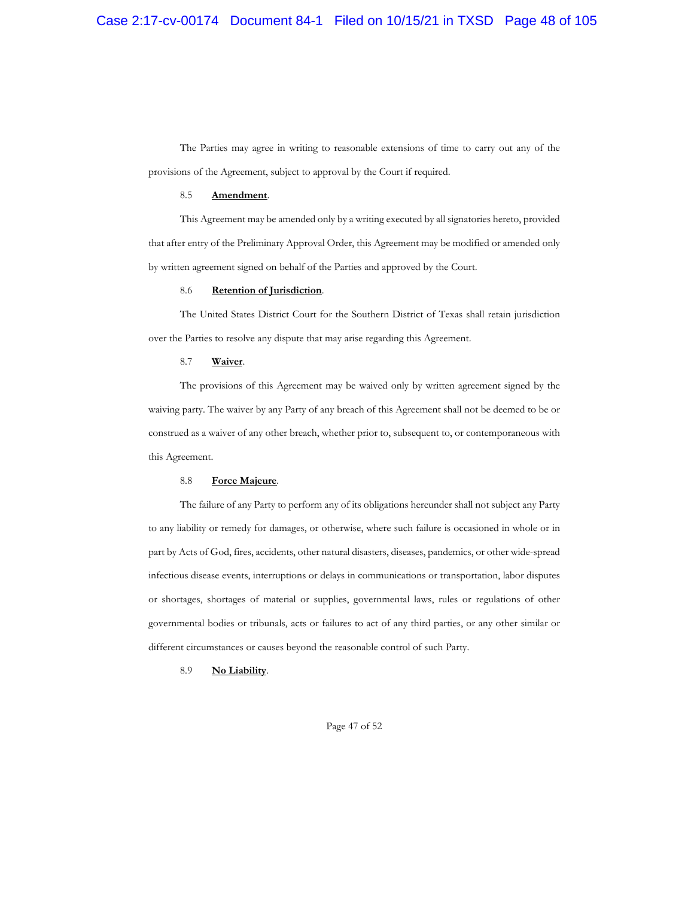The Parties may agree in writing to reasonable extensions of time to carry out any of the provisions of the Agreement, subject to approval by the Court if required.

#### 8.5 **Amendment**.

This Agreement may be amended only by a writing executed by all signatories hereto, provided that after entry of the Preliminary Approval Order, this Agreement may be modified or amended only by written agreement signed on behalf of the Parties and approved by the Court.

#### 8.6 **Retention of Jurisdiction**.

The United States District Court for the Southern District of Texas shall retain jurisdiction over the Parties to resolve any dispute that may arise regarding this Agreement.

#### 8.7 **Waiver**.

The provisions of this Agreement may be waived only by written agreement signed by the waiving party. The waiver by any Party of any breach of this Agreement shall not be deemed to be or construed as a waiver of any other breach, whether prior to, subsequent to, or contemporaneous with this Agreement.

#### 8.8 **Force Majeure**.

The failure of any Party to perform any of its obligations hereunder shall not subject any Party to any liability or remedy for damages, or otherwise, where such failure is occasioned in whole or in part by Acts of God, fires, accidents, other natural disasters, diseases, pandemics, or other wide-spread infectious disease events, interruptions or delays in communications or transportation, labor disputes or shortages, shortages of material or supplies, governmental laws, rules or regulations of other governmental bodies or tribunals, acts or failures to act of any third parties, or any other similar or different circumstances or causes beyond the reasonable control of such Party.

#### 8.9 **No Liability**.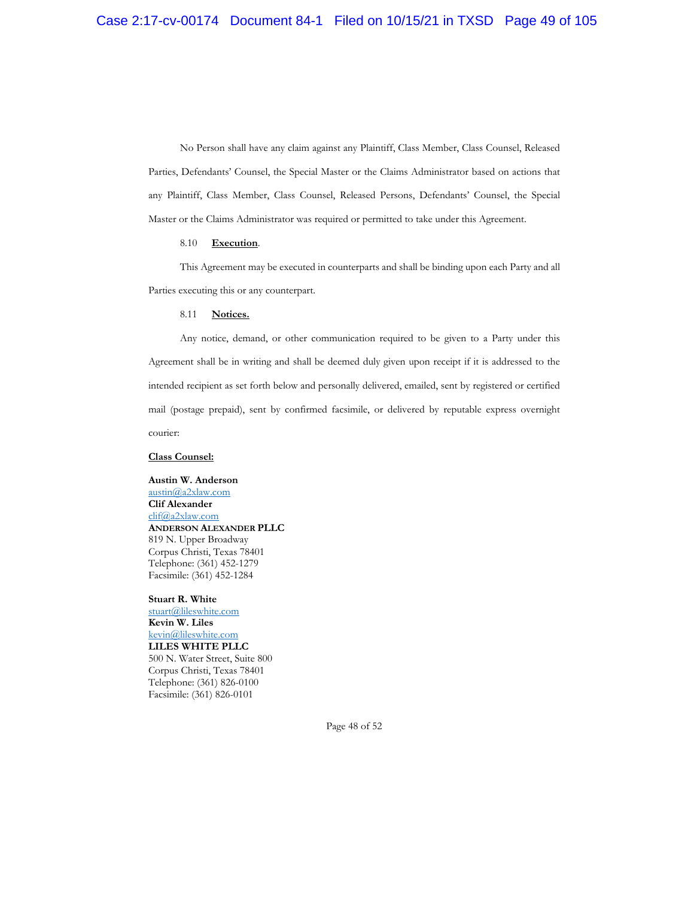No Person shall have any claim against any Plaintiff, Class Member, Class Counsel, Released Parties, Defendants' Counsel, the Special Master or the Claims Administrator based on actions that any Plaintiff, Class Member, Class Counsel, Released Persons, Defendants' Counsel, the Special Master or the Claims Administrator was required or permitted to take under this Agreement.

## 8.10 **Execution**.

This Agreement may be executed in counterparts and shall be binding upon each Party and all Parties executing this or any counterpart.

#### 8.11 **Notices.**

Any notice, demand, or other communication required to be given to a Party under this Agreement shall be in writing and shall be deemed duly given upon receipt if it is addressed to the intended recipient as set forth below and personally delivered, emailed, sent by registered or certified mail (postage prepaid), sent by confirmed facsimile, or delivered by reputable express overnight courier:

#### **Class Counsel:**

**Austin W. Anderson**  austin@a2xlaw.com **Clif Alexander** clif@a2xlaw.com **ANDERSON ALEXANDER PLLC** 819 N. Upper Broadway Corpus Christi, Texas 78401 Telephone: (361) 452-1279 Facsimile: (361) 452-1284

**Stuart R. White** stuart@lileswhite.com **Kevin W. Liles** kevin@lileswhite.com **LILES WHITE PLLC** 500 N. Water Street, Suite 800 Corpus Christi, Texas 78401 Telephone: (361) 826-0100 Facsimile: (361) 826-0101

Page 48 of 52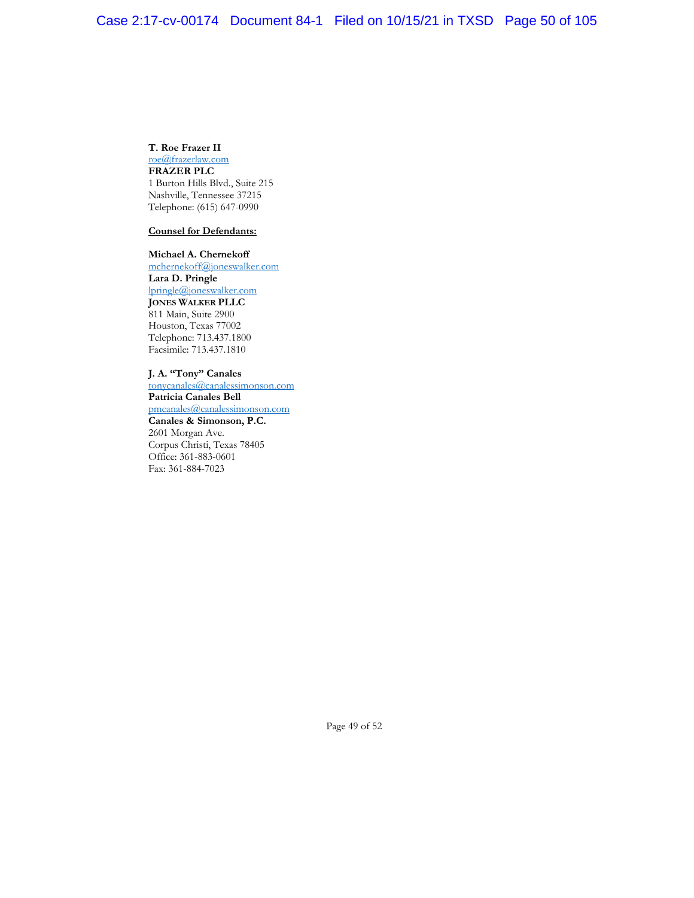### **T. Roe Frazer II**

roe@frazerlaw.com **FRAZER PLC** 1 Burton Hills Blvd., Suite 215 Nashville, Tennessee 37215 Telephone: (615) 647-0990

## **Counsel for Defendants:**

**Michael A. Chernekoff**  mchernekoff@joneswalker.com **Lara D. Pringle** lpringle@joneswalker.com **JONES WALKER PLLC** 811 Main, Suite 2900 Houston, Texas 77002 Telephone: 713.437.1800 Facsimile: 713.437.1810

## **J. A. "Tony" Canales**

tonycanales@canalessimonson.com **Patricia Canales Bell** pmcanales@canalessimonson.com **Canales & Simonson, P.C.** 2601 Morgan Ave. Corpus Christi, Texas 78405 Office: 361-883-0601 Fax: 361-884-7023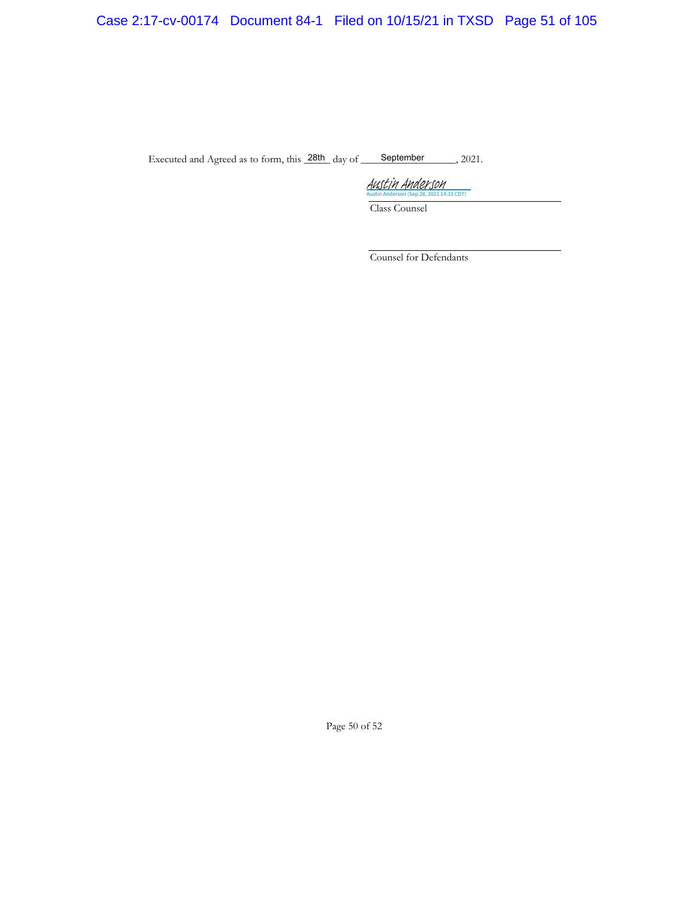# Case 2:17-cv-00174 Document 84-1 Filed on 10/15/21 in TXSD Page 51 of 105

Executed and Agreed as to form, this  $\frac{28\text{th}}{\text{day of}}$  of September 2021.

Austria Austria CDT) Austin Anderson

Class Counsel

Counsel for Defendants

Page 50 of 52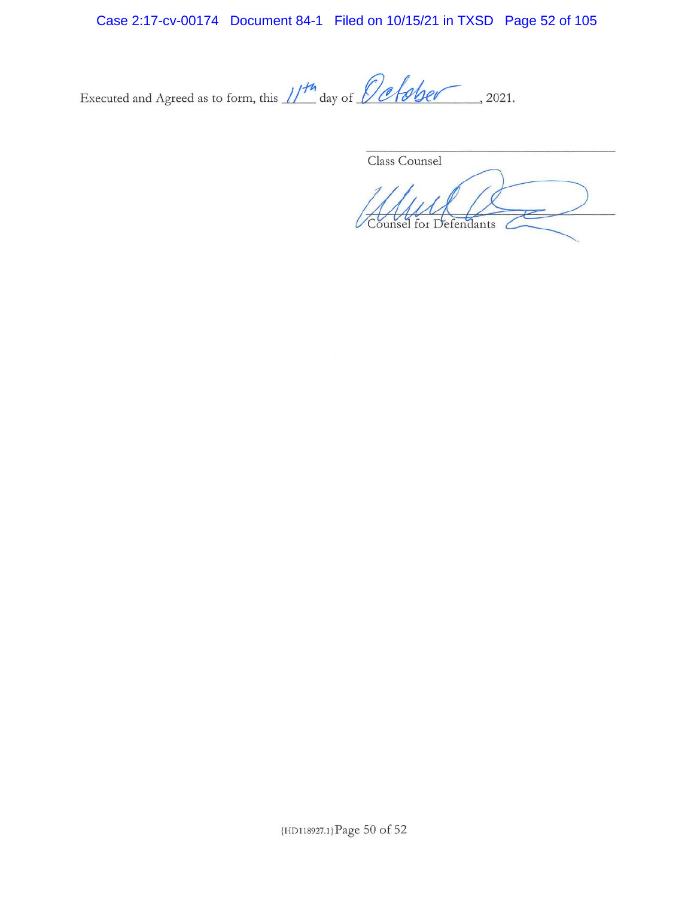Case 2:17-cv-00174 Document 84-1 Filed on 10/15/21 in TXSD Page 52 of 105

Executed and Agreed as to form, this  $1/14$  day of  $\theta$  of subseter, 2021.

Class Counsel Counsel for Defendants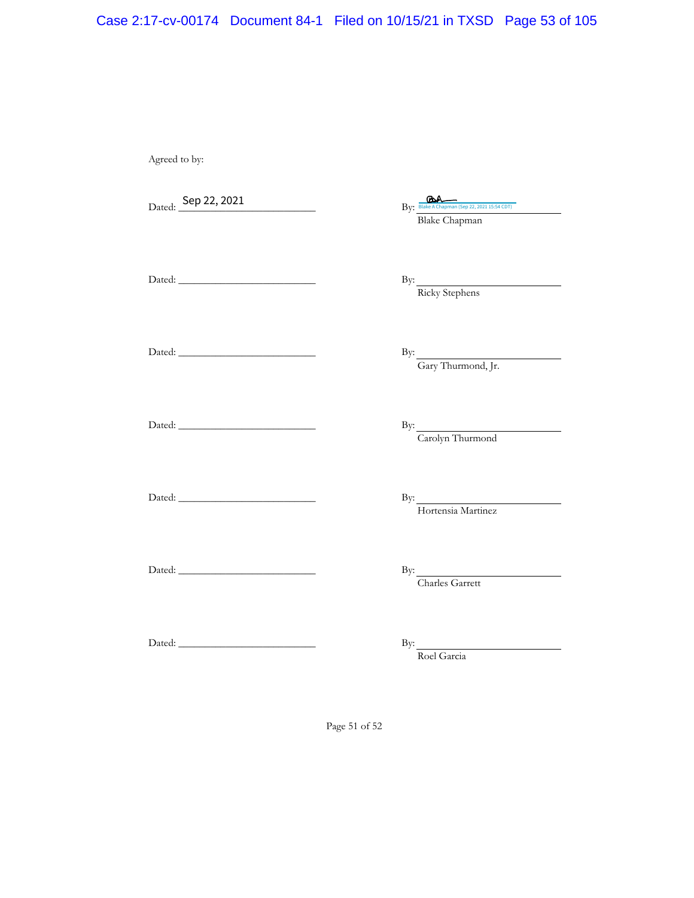# Case 2:17-cv-00174 Document 84-1 Filed on 10/15/21 in TXSD Page 53 of 105

Agreed to by:

Dated: <u>Sep</u> 22, 2021

Blake Chapman  $\mathsf{Sep}\ 22,2021$   $\mathsf{BA}_{\mathsf{Web}\ \mathsf{A}\ \mathsf{Chapman}\ (\mathsf{Sep}\ 22,2021\ 15:54\ \mathsf{CDT})}$ 

Dated: \_\_\_\_\_\_\_\_\_\_\_\_\_\_\_\_\_\_\_\_\_\_\_\_\_\_ By:

By:  $\frac{\text{Ricky \xleq \text{Re}}}{\text{Ricky \xleq \text{Re}}$ 

By:  $\frac{G}{Gary Thurmond, Jr.}$ 

Dated: \_\_\_\_\_\_\_\_\_\_\_\_\_\_\_\_\_\_\_\_\_\_\_\_\_\_ By:

Dated: \_\_\_\_\_\_\_\_\_\_\_\_\_\_\_\_\_\_\_\_\_\_\_\_\_\_ By:

Dated: \_\_\_\_\_\_\_\_\_\_\_\_\_\_\_\_\_\_\_\_\_\_\_\_\_\_ By:

By: Carolyn Thurmond

By: Hortensia Martinez

Dated: \_\_\_\_\_\_\_\_\_\_\_\_\_\_\_\_\_\_\_\_\_\_\_\_\_\_ By:

By: Charles Garrett

Dated: \_\_\_\_\_\_\_\_\_\_\_\_\_\_\_\_\_\_\_\_\_\_\_\_\_\_ By:

Roel Garcia

Page 51 of 52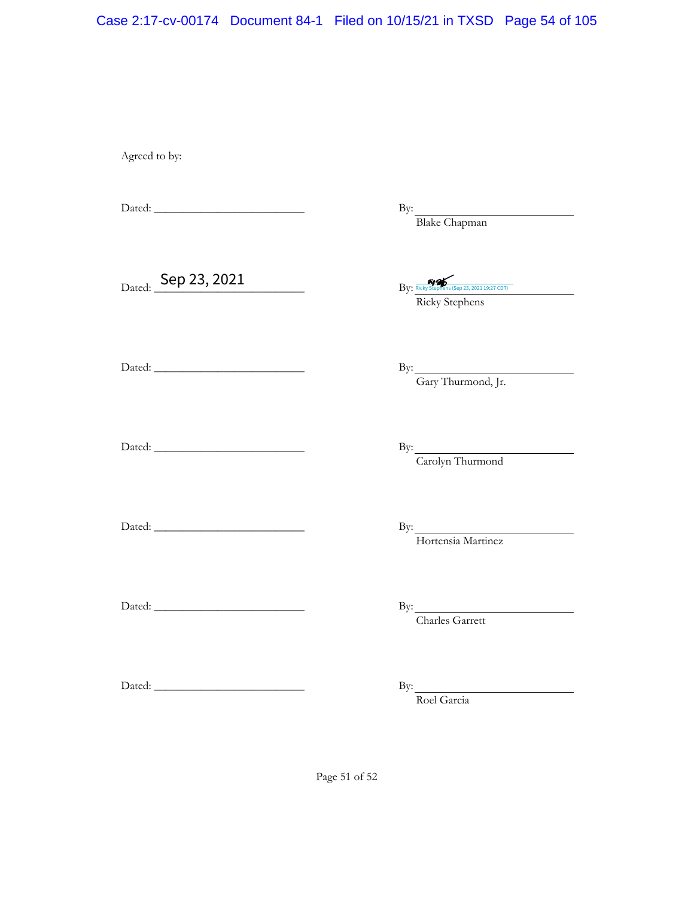## Case 2:17-cv-00174 Document 84-1 Filed on 10/15/21 in TXSD Page 54 of 105

Agreed to by:

Dated: \_\_\_\_\_\_\_\_\_\_\_\_\_\_\_\_\_\_\_\_\_\_\_\_\_\_ By:

By: Blake Chapman

 $Dated:$   $\begin{array}{c|c} \textsf{Sep 23,2021} & \textsf{By:} \end{array}$ 

Ricky Stephens Ricky Stephens (Sep 23, 2021 19:27 CDT)

By:  $\frac{Gary Thurmond, Jr.}{Gary Thurmond, Jr.}$ 

Dated: \_\_\_\_\_\_\_\_\_\_\_\_\_\_\_\_\_\_\_\_\_\_\_\_\_\_ By:

Dated: \_\_\_\_\_\_\_\_\_\_\_\_\_\_\_\_\_\_\_\_\_\_\_\_\_\_ By:

By: Carolyn Thurmond

Dated: \_\_\_\_\_\_\_\_\_\_\_\_\_\_\_\_\_\_\_\_\_\_\_\_\_\_ By:

Dated: \_\_\_\_\_\_\_\_\_\_\_\_\_\_\_\_\_\_\_\_\_\_\_\_\_\_ By:

By: Hortensia Martinez

Charles Garrett

Dated: \_\_\_\_\_\_\_\_\_\_\_\_\_\_\_\_\_\_\_\_\_\_\_\_\_\_ By:

By: Roel Garcia

Page 51 of 52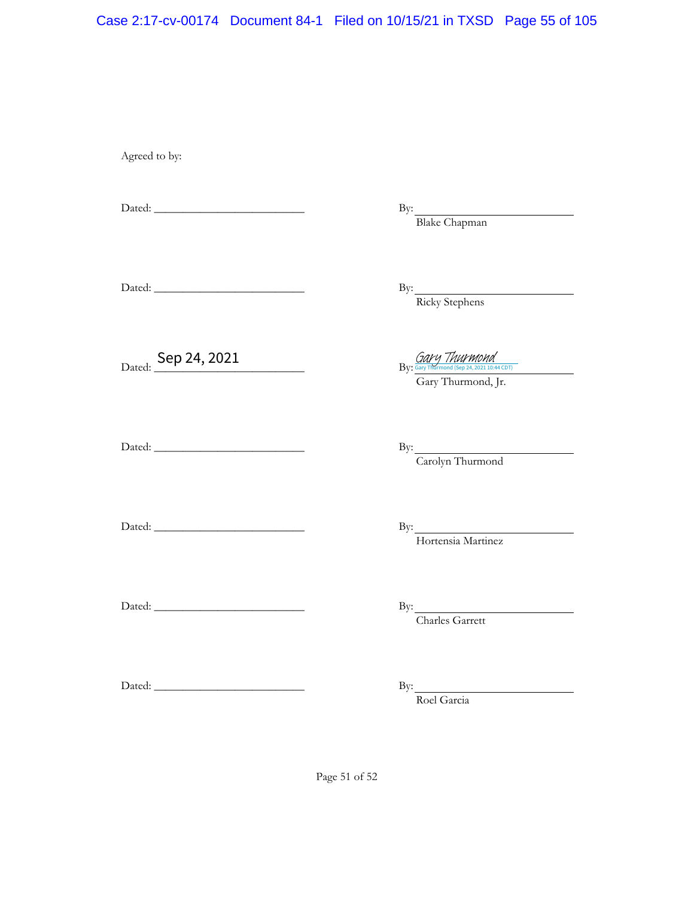## Case 2:17-cv-00174 Document 84-1 Filed on 10/15/21 in TXSD Page 55 of 105

Agreed to by:

Dated: \_\_\_\_\_\_\_\_\_\_\_\_\_\_\_\_\_\_\_\_\_\_\_\_\_\_ By:

By: Blake Chapman

Dated: \_\_\_\_\_\_\_\_\_\_\_\_\_\_\_\_\_\_\_\_\_\_\_\_\_\_ By:

By:  $\frac{\text{Ricky \xleq \text{kephens}}}{\text{Ricky \xleq \text{tephens}}}}$ 

Dated: Sep 24, 2021  $\frac{Gary\text{ ThuYMond}}{By;\frac{Gary\text{ ThuYMond}}{897\text{ ThuYMond}}(5e)24,2021}$ 

Dated: \_\_\_\_\_\_\_\_\_\_\_\_\_\_\_\_\_\_\_\_\_\_\_\_\_\_ By:

By: Carolyn Thurmond

Gary Thurmond, Jr.

Dated: \_\_\_\_\_\_\_\_\_\_\_\_\_\_\_\_\_\_\_\_\_\_\_\_\_\_ By:

Dated: \_\_\_\_\_\_\_\_\_\_\_\_\_\_\_\_\_\_\_\_\_\_\_\_\_\_ By:

By: Hortensia Martinez

Charles Garrett

Dated: \_\_\_\_\_\_\_\_\_\_\_\_\_\_\_\_\_\_\_\_\_\_\_\_\_\_ By:

By: Roel Garcia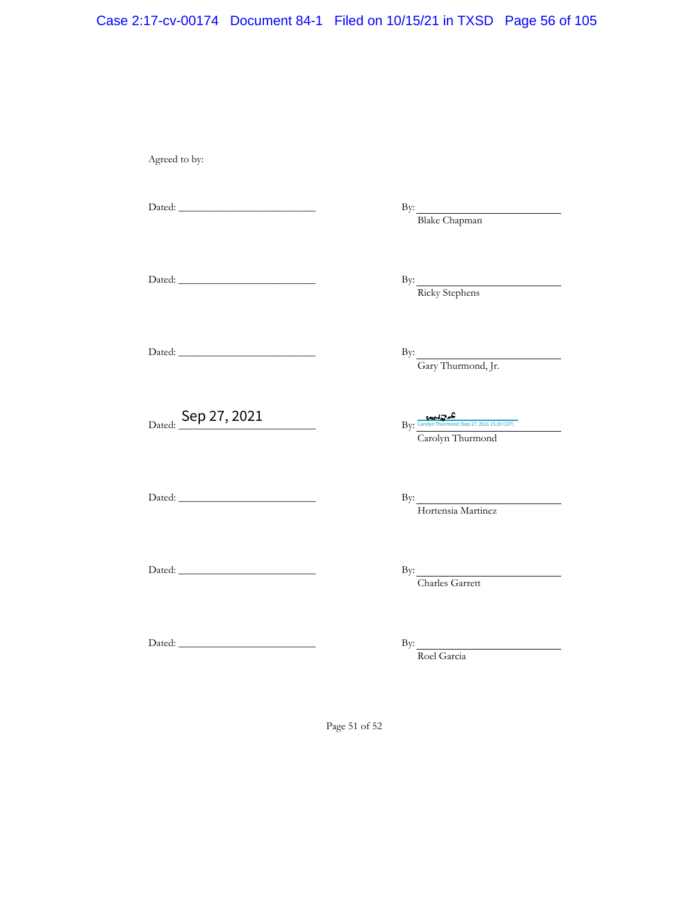# Case 2:17-cv-00174 Document 84-1 Filed on 10/15/21 in TXSD Page 56 of 105

Agreed to by:

Dated: \_\_\_\_\_\_\_\_\_\_\_\_\_\_\_\_\_\_\_\_\_\_\_\_\_\_ By:

By: Blake Chapman

Dated: \_\_\_\_\_\_\_\_\_\_\_\_\_\_\_\_\_\_\_\_\_\_\_\_\_\_ By:

By:  $\frac{\text{Ricky \xleq \text{Re}}}{\text{Ricky \xleq \text{Re}}$ 

Dated: \_\_\_\_\_\_\_\_\_\_\_\_\_\_\_\_\_\_\_\_\_\_\_\_\_\_ By:

By:  $\frac{G}{G}$ Gary Thurmond, Jr.

Dated: Sep 27, 2021  $\mathsf{Sep}\ 27,2021$   $\mathsf{Exp}\ \mathsf{C}_{\mathsf{Group}\ \textsf{Thurmond}\,(\mathsf{Sep}\ 27,2021\ 15;20\,\mathbb{C}\mathbb{D}7)}$ 

Carolyn Thurmond

Dated: \_\_\_\_\_\_\_\_\_\_\_\_\_\_\_\_\_\_\_\_\_\_\_\_\_\_ By:

By: Hortensia Martinez

Charles Garrett

Dated: \_\_\_\_\_\_\_\_\_\_\_\_\_\_\_\_\_\_\_\_\_\_\_\_\_\_ By:

Dated: \_\_\_\_\_\_\_\_\_\_\_\_\_\_\_\_\_\_\_\_\_\_\_\_\_\_ By:

Roel Garcia

Page 51 of 52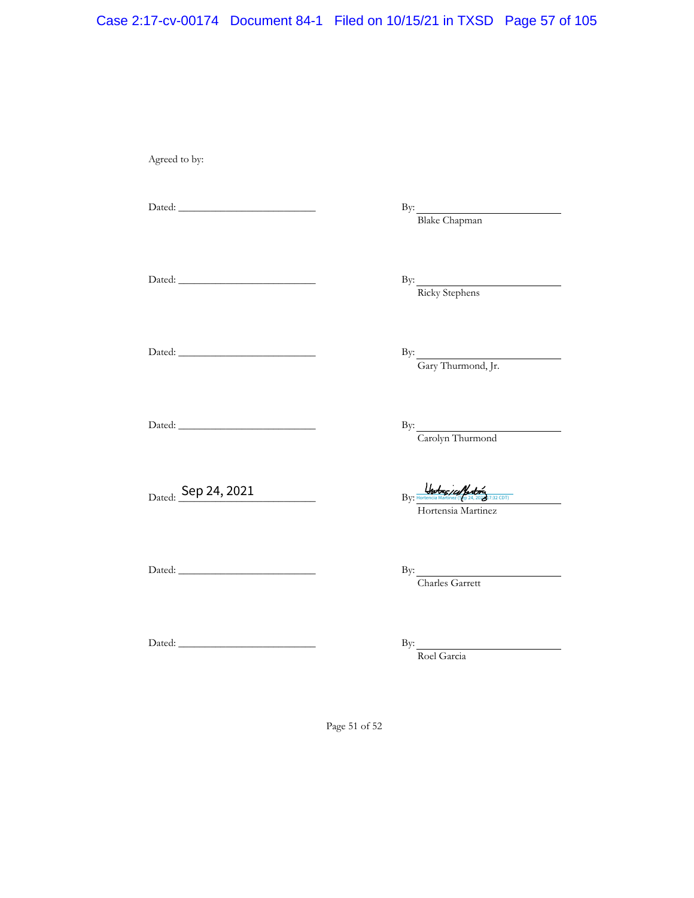# Case 2:17-cv-00174 Document 84-1 Filed on 10/15/21 in TXSD Page 57 of 105

Agreed to by:

Dated: \_\_\_\_\_\_\_\_\_\_\_\_\_\_\_\_\_\_\_\_\_\_\_\_\_\_ By:

By: Blake Chapman

Dated: \_\_\_\_\_\_\_\_\_\_\_\_\_\_\_\_\_\_\_\_\_\_\_\_\_\_ By:

By:  $\frac{\text{Ricky \xleq \text{Re}}}{\text{Ricky \xleq \text{Re}}$ 

Dated: \_\_\_\_\_\_\_\_\_\_\_\_\_\_\_\_\_\_\_\_\_\_\_\_\_\_ By:

Dated: \_\_\_\_\_\_\_\_\_\_\_\_\_\_\_\_\_\_\_\_\_\_\_\_\_\_ By:

Dated: Sep 24, 2021

By: Carolyn Thurmond

By:  $\frac{G}{G}$ Gary Thurmond, Jr.

 $\frac{U_{\text{f}}}{B_{\text{V}}}\frac{U_{\text{f}}}{B_{\text{V}}}\frac{U_{\text{f}}}{B_{\text{V}}}\frac{U_{\text{f}}}{B_{\text{V}}}\frac{U_{\text{f}}}{B_{\text{V}}}\frac{U_{\text{f}}}{B_{\text{V}}}\frac{U_{\text{f}}}{B_{\text{V}}}\frac{U_{\text{f}}}{B_{\text{V}}}\frac{U_{\text{f}}}{B_{\text{V}}}\frac{U_{\text{f}}}{B_{\text{V}}}\frac{U_{\text{f}}}{B_{\text{V}}}\frac{U_{\text{f}}}{B_{\text{V}}}\frac{U$ 

Hortensia Martinez

Dated: \_\_\_\_\_\_\_\_\_\_\_\_\_\_\_\_\_\_\_\_\_\_\_\_\_\_ By:

By: Charles Garrett

Dated: \_\_\_\_\_\_\_\_\_\_\_\_\_\_\_\_\_\_\_\_\_\_\_\_\_\_ By:

Roel Garcia

Page 51 of 52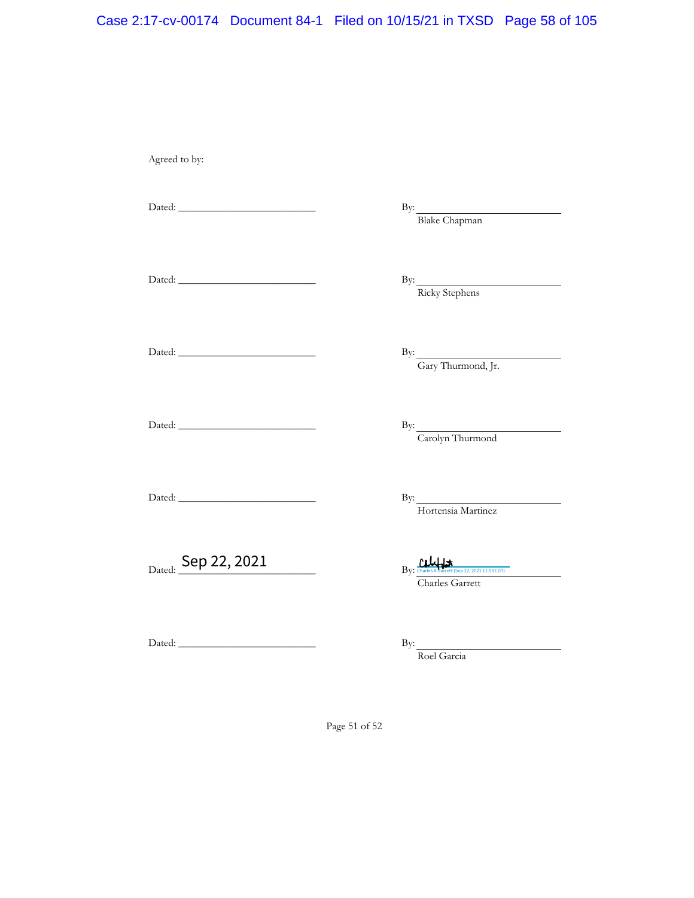# Case 2:17-cv-00174 Document 84-1 Filed on 10/15/21 in TXSD Page 58 of 105

Agreed to by:

Dated: \_\_\_\_\_\_\_\_\_\_\_\_\_\_\_\_\_\_\_\_\_\_\_\_\_\_ By:

By: Blake Chapman

By:  $\frac{\text{Ricky \xleq \text{Re}}}{\text{Ricky \xleq \text{Re}}$ 

Dated: \_\_\_\_\_\_\_\_\_\_\_\_\_\_\_\_\_\_\_\_\_\_\_\_\_\_ By:

Dated: \_\_\_\_\_\_\_\_\_\_\_\_\_\_\_\_\_\_\_\_\_\_\_\_\_\_ By:

Dated: \_\_\_\_\_\_\_\_\_\_\_\_\_\_\_\_\_\_\_\_\_\_\_\_\_\_ By:

Dated: \_\_\_\_\_\_\_\_\_\_\_\_\_\_\_\_\_\_\_\_\_\_\_\_\_\_ By:

 $D_{\rm ated:}$  Sep 22, 2021

Charles Garrett Charles A Garrett (Sep 22, 2021 11:53 CDT)

Dated: \_\_\_\_\_\_\_\_\_\_\_\_\_\_\_\_\_\_\_\_\_\_\_\_\_\_ By:

Roel Garcia

Page 51 of 52

By: Gary Thurmond, Jr.

By: Carolyn Thurmond

By: Hortensia Martinez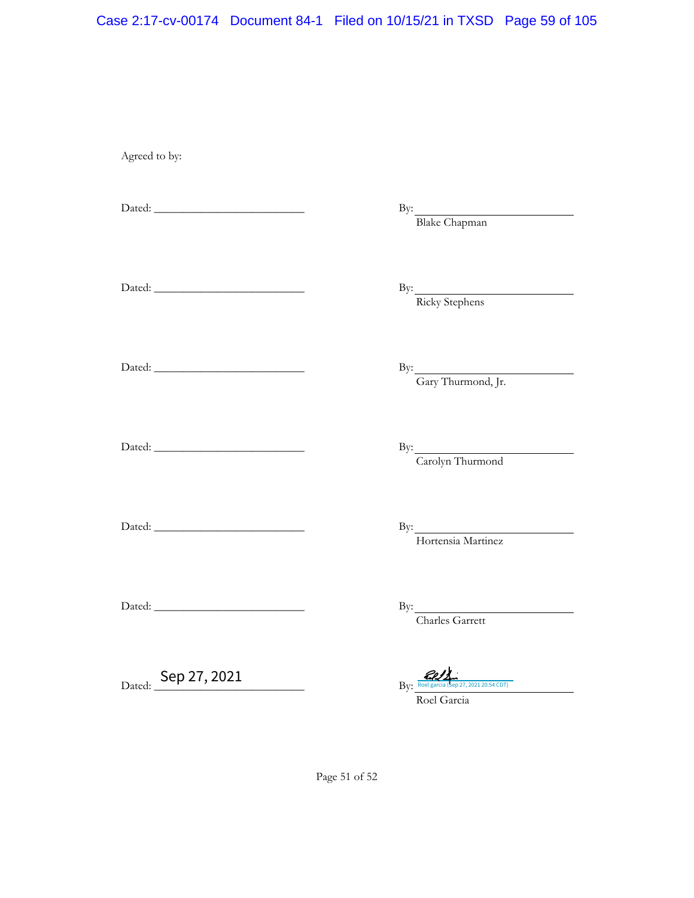## Case 2:17-cv-00174 Document 84-1 Filed on 10/15/21 in TXSD Page 59 of 105

Agreed to by:

Dated: \_\_\_\_\_\_\_\_\_\_\_\_\_\_\_\_\_\_\_\_\_\_\_\_\_\_ By:

Dated: \_\_\_\_\_\_\_\_\_\_\_\_\_\_\_\_\_\_\_\_\_\_\_\_\_\_ By:

By:  $\frac{\text{Blake Chapman}}{}$ 

By:  $\frac{\text{Ricky \xleq \text{kephens}}}{\text{Ricky \xleq \text{kephens}}}}$ 

Dated: \_\_\_\_\_\_\_\_\_\_\_\_\_\_\_\_\_\_\_\_\_\_\_\_\_\_ By:

Dated: \_\_\_\_\_\_\_\_\_\_\_\_\_\_\_\_\_\_\_\_\_\_\_\_\_\_ By:

By: Carolyn Thurmond

By:  $\frac{G}{G}$ Gary Thurmond, Jr.

Dated: \_\_\_\_\_\_\_\_\_\_\_\_\_\_\_\_\_\_\_\_\_\_\_\_\_\_ By:

Dated: \_\_\_\_\_\_\_\_\_\_\_\_\_\_\_\_\_\_\_\_\_\_\_\_\_\_ By:

Charles Garrett

By: Hortensia Martinez

Dated: <u>Sep 27, 2021</u>

Sep 27, 2021  $R_V \frac{d\mathcal{U}}{R_{\text{Rel gate}}(k_{\text{ep 27,202120:54 CDT})}$ 

Roel Garcia

Page 51 of 52